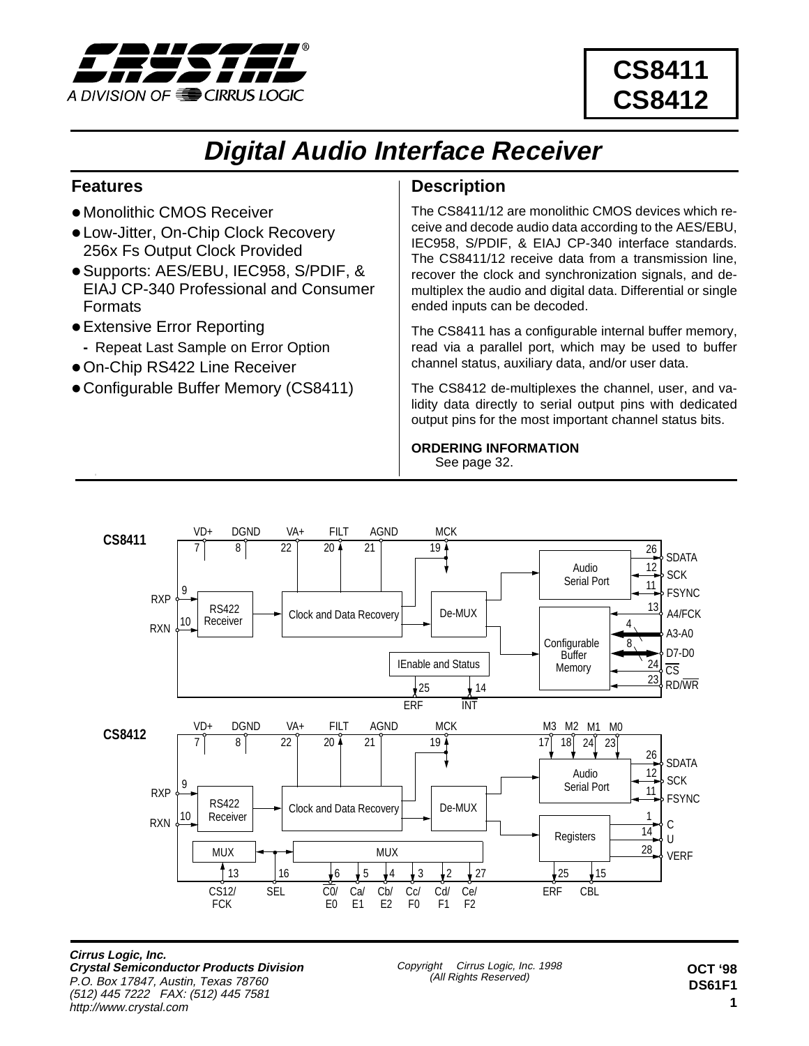

# **CS8411 CS8412**

# **Digital Audio Interface Receiver**

## **Features**

- Monolithic CMOS Receiver
- **.** Low-Jitter, On-Chip Clock Recovery 256x Fs Output Clock Provided
- Supports: AES/EBU, IEC958, S/PDIF, & EIAJ CP-340 Professional and Consumer Formats
- Extensive Error Reporting
- **-** Repeat Last Sample on Error Option
- On-Chip RS422 Line Receiver
- Configurable Buffer Memory (CS8411)

## **Description**

The CS8411/12 are monolithic CMOS devices which receive and decode audio data according to the AES/EBU, IEC958, S/PDIF, & EIAJ CP-340 interface standards. The CS8411/12 receive data from a transmission line, recover the clock and synchronization signals, and demultiplex the audio and digital data. Differential or single ended inputs can be decoded.

The CS8411 has a configurable internal buffer memory, read via a parallel port, which may be used to buffer channel status, auxiliary data, and/or user data.

The CS8412 de-multiplexes the channel, user, and validity data directly to serial output pins with dedicated output pins for the most important channel status bits.

#### **ORDERING INFORMATION** See [page](#page-31-0) 32.



**Cirrus Logic, Inc. Crystal Semiconductor Products Division** P.O. Box 17847, Austin, Texas 78760 (512) 445 7222 FAX: (512) 445 7581 http://www.crystal.com

Copyright © Cirrus Logic, Inc. 1998 (All Rights Reserved)

**1 OCT '98 DS61F1**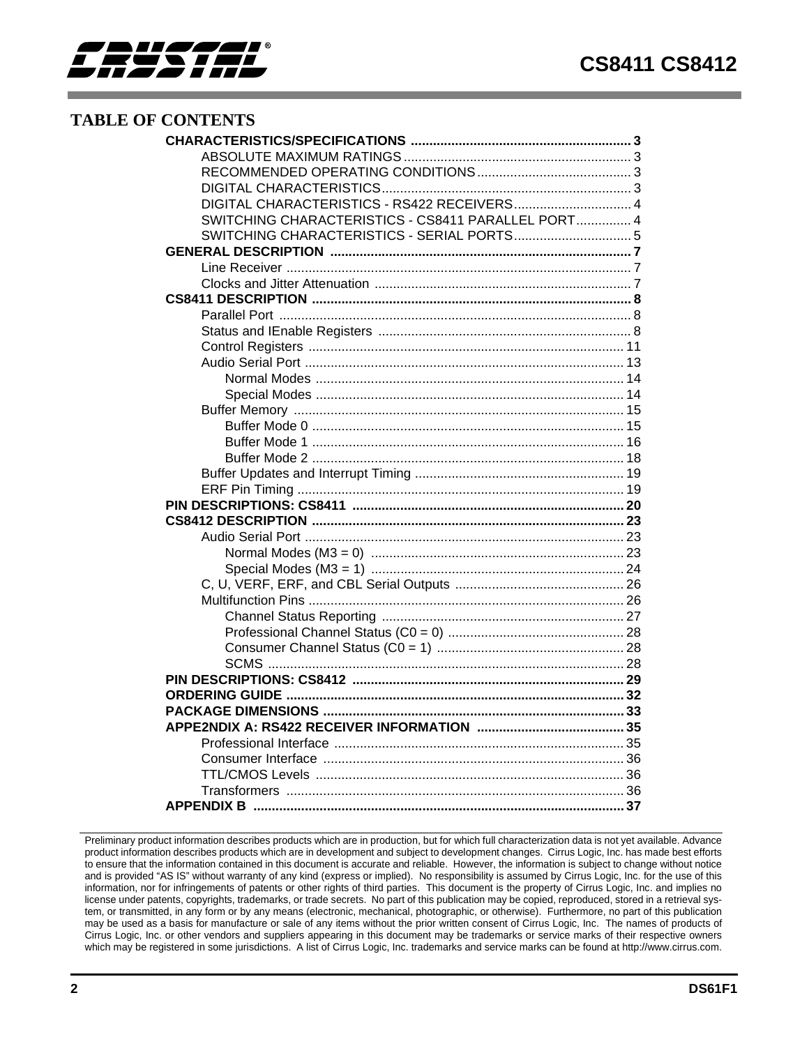

## **TABLE OF CONTENTS**

| DIGITAL CHARACTERISTICS - RS422 RECEIVERS 4        |  |
|----------------------------------------------------|--|
| SWITCHING CHARACTERISTICS - CS8411 PARALLEL PORT 4 |  |
| SWITCHING CHARACTERISTICS - SERIAL PORTS 5         |  |
|                                                    |  |
|                                                    |  |
|                                                    |  |
|                                                    |  |
|                                                    |  |
|                                                    |  |
|                                                    |  |
|                                                    |  |
|                                                    |  |
|                                                    |  |
|                                                    |  |
|                                                    |  |
|                                                    |  |
|                                                    |  |
|                                                    |  |
|                                                    |  |
|                                                    |  |
|                                                    |  |
|                                                    |  |
|                                                    |  |
|                                                    |  |
|                                                    |  |
|                                                    |  |
|                                                    |  |
|                                                    |  |
|                                                    |  |
|                                                    |  |
|                                                    |  |
|                                                    |  |
|                                                    |  |
|                                                    |  |
|                                                    |  |
|                                                    |  |
|                                                    |  |
|                                                    |  |
|                                                    |  |

Preliminary product information describes products which are in production, but for which full characterization data is not yet available. Advance product information describes products which are in development and subject to development changes. Cirrus Logic, Inc. has made best efforts to ensure that the information contained in this document is accurate and reliable. However, the information is subject to change without notice and is provided "AS IS" without warranty of any kind (express or implied). No responsibility is assumed by Cirrus Logic, Inc. for the use of this information, nor for infringements of patents or other rights of third parties. This document is the property of Cirrus Logic, Inc. and implies no license under patents, copyrights, trademarks, or trade secrets. No part of this publication may be copied, reproduced, stored in a retrieval system, or transmitted, in any form or by any means (electronic, mechanical, photographic, or otherwise). Furthermore, no part of this publication may be used as a basis for manufacture or sale of any items without the prior written consent of Cirrus Logic, Inc. The names of products of Cirrus Logic, Inc. or other vendors and suppliers appearing in this document may be trademarks or service marks of their respective owners which may be registered in some jurisdictions. A list of Cirrus Logic, Inc. trademarks and service marks can be found at http://www.cirrus.com.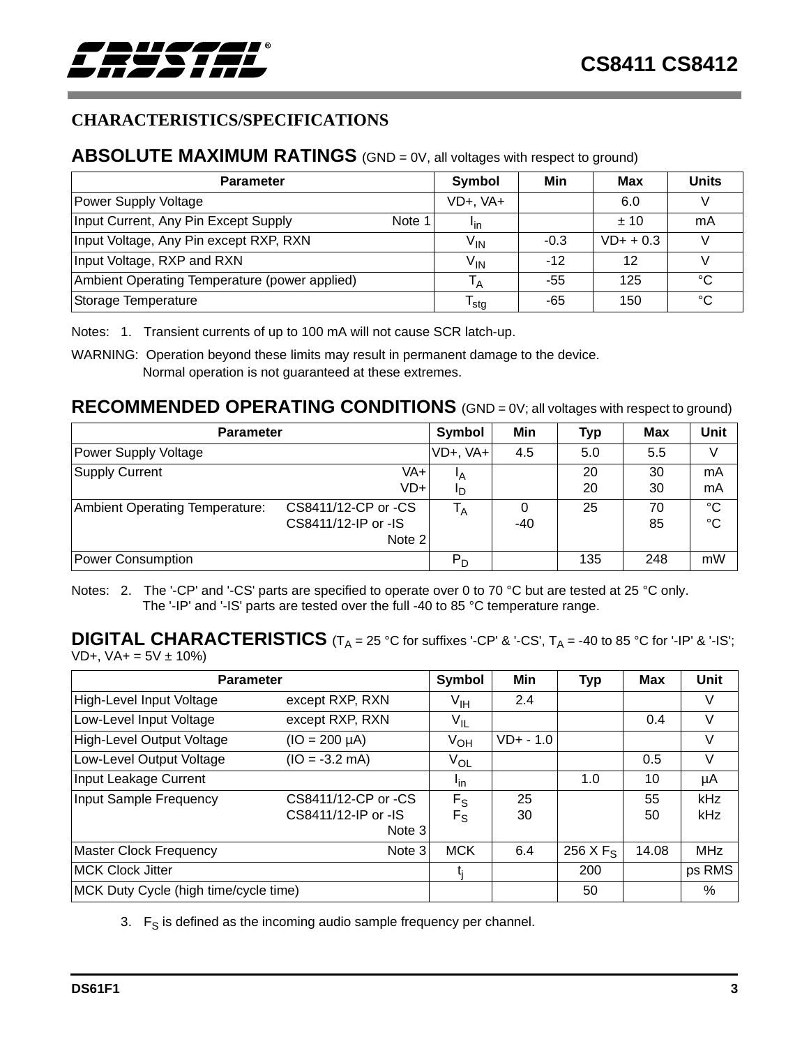<span id="page-2-0"></span>

## **CHARACTERISTICS/SPECIFICATIONS**

## **ABSOLUTE MAXIMUM RATINGS** (GND = 0V, all voltages with respect to ground)

| <b>Parameter</b>                               | Symbol                     | Min    | Max         | <b>Units</b> |
|------------------------------------------------|----------------------------|--------|-------------|--------------|
| Power Supply Voltage                           | VD+, VA+                   |        | 6.0         |              |
| Input Current, Any Pin Except Supply<br>Note 1 | <b>I</b> <sub>in</sub>     |        | $+10$       | mA           |
| Input Voltage, Any Pin except RXP, RXN         | $\mathsf{V}_{\mathsf{IN}}$ | $-0.3$ | $VD+ + 0.3$ |              |
| Input Voltage, RXP and RXN                     | $V_{IN}$                   | $-12$  | 12          |              |
| Ambient Operating Temperature (power applied)  | ΙA                         | -55    | 125         | °C           |
| Storage Temperature                            | <sup>I</sup> sta           | -65    | 150         | °€           |

Notes: 1. Transient currents of up to 100 mA will not cause SCR latch-up.

WARNING: Operation beyond these limits may result in permanent damage to the device. Normal operation is not guaranteed at these extremes.

## **RECOMMENDED OPERATING CONDITIONS** (GND = 0V; all voltages with respect to ground)

| <b>Parameter</b>                      | Symbol                | Min   | <b>Typ</b> | Max | <b>Unit</b> |             |
|---------------------------------------|-----------------------|-------|------------|-----|-------------|-------------|
| Power Supply Voltage                  | $VD+$ , $VA+$         | 4.5   | 5.0        | 5.5 | V           |             |
| <b>Supply Current</b>                 | VA+<br><sup>1</sup> A |       | 20         | 30  | mA          |             |
|                                       | VD+                   | םי    |            | 20  | 30          | mA          |
| <b>Ambient Operating Temperature:</b> | CS8411/12-CP or -CS   | $T_A$ |            | 25  | 70          | $^{\circ}C$ |
|                                       | CS8411/12-IP or -IS   |       | $-40$      |     | 85          | $^{\circ}C$ |
|                                       | Note 2                |       |            |     |             |             |
| Power Consumption                     |                       | $P_D$ |            | 135 | 248         | mW          |

Notes: 2. The '-CP' and '-CS' parts are specified to operate over 0 to 70 °C but are tested at 25 °C only. The '-IP' and '-IS' parts are tested over the full -40 to 85 °C temperature range.

## **DIGITAL CHARACTERISTICS**  $(T_A = 25 \text{ °C}$  for suffixes '-CP' & '-CS',  $T_A = -40$  to 85  $\text{ °C}$  for '-IP' & '-IS';

 $VD+, VA+ = 5V \pm 10\%)$ 

| <b>Parameter</b>                      | Symbol              | Min             | <b>Typ</b>   | <b>Max</b>  | Unit  |            |
|---------------------------------------|---------------------|-----------------|--------------|-------------|-------|------------|
| High-Level Input Voltage              | except RXP, RXN     | V <sub>IH</sub> | 2.4          |             |       | V          |
| Low-Level Input Voltage               | except RXP, RXN     | V <sub>IL</sub> |              |             | 0.4   | V          |
| High-Level Output Voltage             | $(IO = 200 \mu A)$  | $V_{OH}$        | $VD + - 1.0$ |             |       | V          |
| Low-Level Output Voltage              | $(IO = -3.2 mA)$    | $V_{OL}$        |              |             | 0.5   | V          |
| Input Leakage Current                 |                     | <sup>l</sup> in |              | 1.0         | 10    | μA         |
| Input Sample Frequency                | CS8411/12-CP or -CS | $F_S$           | 25           |             | 55    | <b>kHz</b> |
|                                       | CS8411/12-IP or -IS | $F_{\rm S}$     | 30           |             | 50    | kHz        |
|                                       | Note 3              |                 |              |             |       |            |
| <b>Master Clock Frequency</b>         | Note 3              | <b>MCK</b>      | 6.4          | 256 X $F_S$ | 14.08 | <b>MHz</b> |
| <b>MCK Clock Jitter</b>               |                     |                 |              | 200         |       | ps RMS     |
| MCK Duty Cycle (high time/cycle time) |                     |                 |              | 50          |       | %          |

3.  $F_S$  is defined as the incoming audio sample frequency per channel.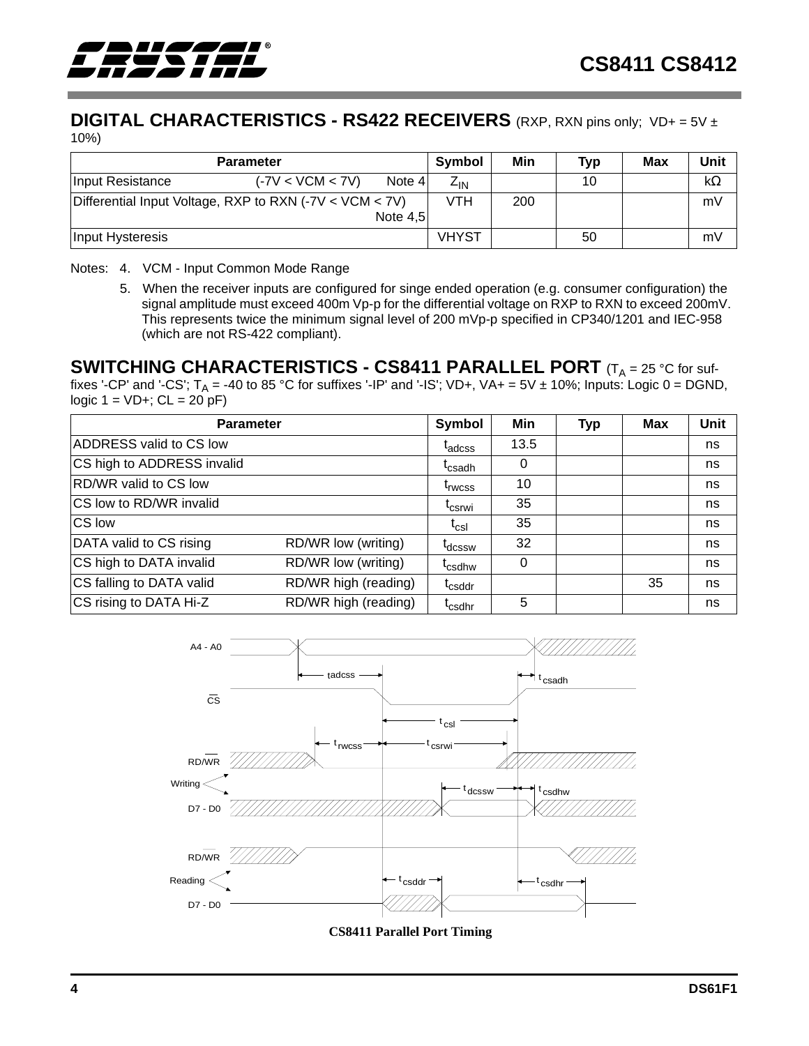<span id="page-3-0"></span>

#### **DIGITAL CHARACTERISTICS - RS422 RECEIVERS** (RXP, RXN pins only; VD+ = 5V ± 10%)

|                                                         | <b>Symbol</b>      | Min        | <b>Typ</b>                 | Max | Unit |  |           |
|---------------------------------------------------------|--------------------|------------|----------------------------|-----|------|--|-----------|
| Input Resistance                                        | $(-7V < VCM < 7V)$ | Note 4     | $\mathsf{z}_{\mathsf{IN}}$ |     | 10   |  | $k\Omega$ |
| Differential Input Voltage, RXP to RXN (-7V < VCM < 7V) |                    |            |                            | 200 |      |  | mV        |
|                                                         |                    | Note $4.5$ |                            |     |      |  |           |
| Input Hysteresis                                        |                    |            | <b>VHYST</b>               |     | 50   |  | mV        |

#### Notes: 4. VCM - Input Common Mode Range

5. When the receiver inputs are configured for singe ended operation (e.g. consumer configuration) the signal amplitude must exceed 400m Vp-p for the differential voltage on RXP to RXN to exceed 200mV. This represents twice the minimum signal level of 200 mVp-p specified in CP340/1201 and IEC-958 (which are not RS-422 compliant).

## **SWITCHING CHARACTERISTICS - CS8411 PARALLEL PORT** (T<sub>A</sub> = 25 °C for suf-

fixes '-CP' and '-CS'; T<sub>A</sub> = -40 to 85 °C for suffixes '-IP' and '-IS'; VD+, VA+ = 5V ± 10%; Inputs: Logic 0 = DGND, logic  $1 = VD +$ ;  $CL = 20 \,\text{pF}$ )

| <b>Parameter</b>           | Symbol               | Min                      | <b>Typ</b> | <b>Max</b> | Unit |    |
|----------------------------|----------------------|--------------------------|------------|------------|------|----|
| ADDRESS valid to CS low    |                      | <sup>l</sup> adcss       | 13.5       |            |      | ns |
| CS high to ADDRESS invalid |                      | <sup>L</sup> csadh       | $\Omega$   |            |      | ns |
| RD/WR valid to CS low      |                      | <sup>t</sup> rwcss       | 10         |            |      | ns |
| CS low to RD/WR invalid    |                      | <sup>L</sup> csrwi       | 35         |            |      | ns |
| CS low                     |                      | $\mathfrak{r}_{\rm csl}$ | 35         |            |      | ns |
| DATA valid to CS rising    | RD/WR low (writing)  | t <sub>dcssw</sub>       | 32         |            |      | ns |
| CS high to DATA invalid    | RD/WR low (writing)  | <sup>L</sup> csdhw       | $\Omega$   |            |      | ns |
| CS falling to DATA valid   | RD/WR high (reading) | <sup>T</sup> csddr       |            |            | 35   | ns |
| CS rising to DATA Hi-Z     | RD/WR high (reading) | <sup>I</sup> csdhr       | 5          |            |      | ns |



**CS8411 Parallel Port Timing**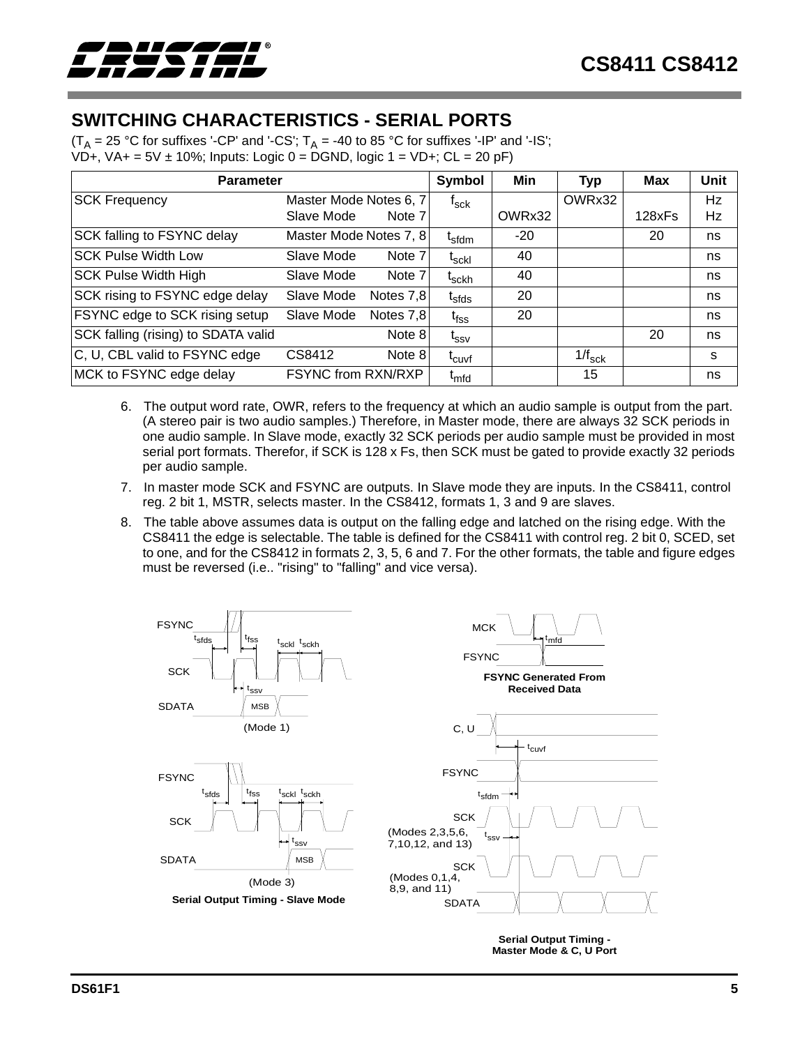<span id="page-4-0"></span>

## **SWITCHING CHARACTERISTICS - SERIAL PORTS**

(T<sub>A</sub> = 25 °C for suffixes '-CP' and '-CS'; T<sub>A</sub> = -40 to 85 °C for suffixes '-IP' and '-IS'; VD+, VA+ = 5V  $\pm$  10%; Inputs: Logic 0 = DGND, logic 1 = VD+; CL = 20 pF)

|                                     | <b>Parameter</b>       |           |                                |        |                 | Max    | Unit      |
|-------------------------------------|------------------------|-----------|--------------------------------|--------|-----------------|--------|-----------|
| <b>SCK Frequency</b>                | Master Mode Notes 6, 7 |           | t <sub>sck</sub>               |        | OWRx32          |        | <b>Hz</b> |
|                                     | Slave Mode             | Note 7    |                                | OWRx32 |                 | 128xFs | Hz        |
| SCK falling to FSYNC delay          | Master Mode Notes 7, 8 |           | t <sub>sfdm</sub>              | $-20$  |                 | 20     | ns        |
| <b>SCK Pulse Width Low</b>          | Slave Mode             | Note 7    | $\mathfrak{r}_{\text{sckl}}$   | 40     |                 |        | ns        |
| <b>SCK Pulse Width High</b>         | Slave Mode             | Note 7    | <sup>I</sup> sckh              | 40     |                 |        | ns        |
| SCK rising to FSYNC edge delay      | Slave Mode             | Notes 7,8 | $\mathfrak{r}_{\mathsf{sfds}}$ | 20     |                 |        | ns        |
| FSYNC edge to SCK rising setup      | Slave Mode             | Notes 7,8 | t <sub>fss</sub>               | 20     |                 |        | ns        |
| SCK falling (rising) to SDATA valid |                        | Note 8    | $\mathfrak{t}_{\text{ssv}}$    |        |                 | 20     | ns        |
| C, U, CBL valid to FSYNC edge       | CS8412                 | Note 8    | t <sub>cuvf</sub>              |        | $1/f_{\rm sck}$ |        | s         |
| MCK to FSYNC edge delay             | FSYNC from RXN/RXP     |           | <sup>I</sup> mfd               |        | 15              |        | ns        |

- 6. The output word rate, OWR, refers to the frequency at which an audio sample is output from the part. (A stereo pair is two audio samples.) Therefore, in Master mode, there are always 32 SCK periods in one audio sample. In Slave mode, exactly 32 SCK periods per audio sample must be provided in most serial port formats. Therefor, if SCK is 128 x Fs, then SCK must be gated to provide exactly 32 periods per audio sample.
- 7. In master mode SCK and FSYNC are outputs. In Slave mode they are inputs. In the CS8411, control reg. 2 bit 1, MSTR, selects master. In the CS8412, formats 1, 3 and 9 are slaves.
- 8. The table above assumes data is output on the falling edge and latched on the rising edge. With the CS8411 the edge is selectable. The table is defined for the CS8411 with control reg. 2 bit 0, SCED, set to one, and for the CS8412 in formats 2, 3, 5, 6 and 7. For the other formats, the table and figure edges must be reversed (i.e.. "rising" to "falling" and vice versa).



**Master Mode & C, U Port**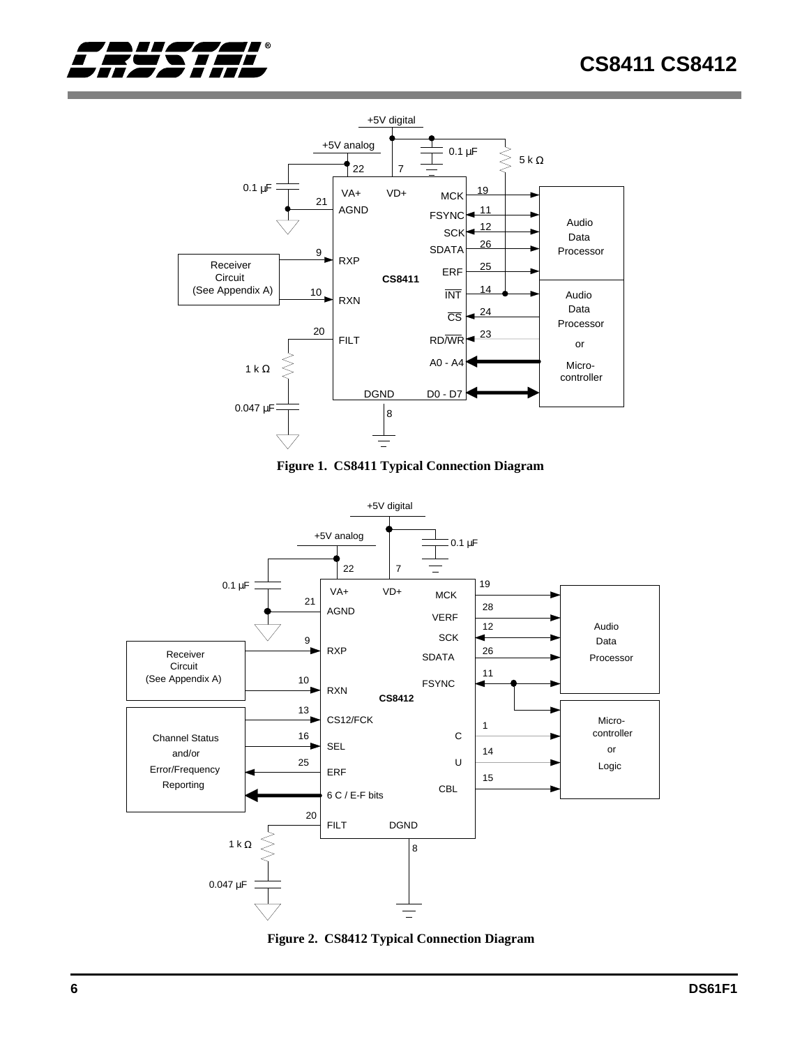







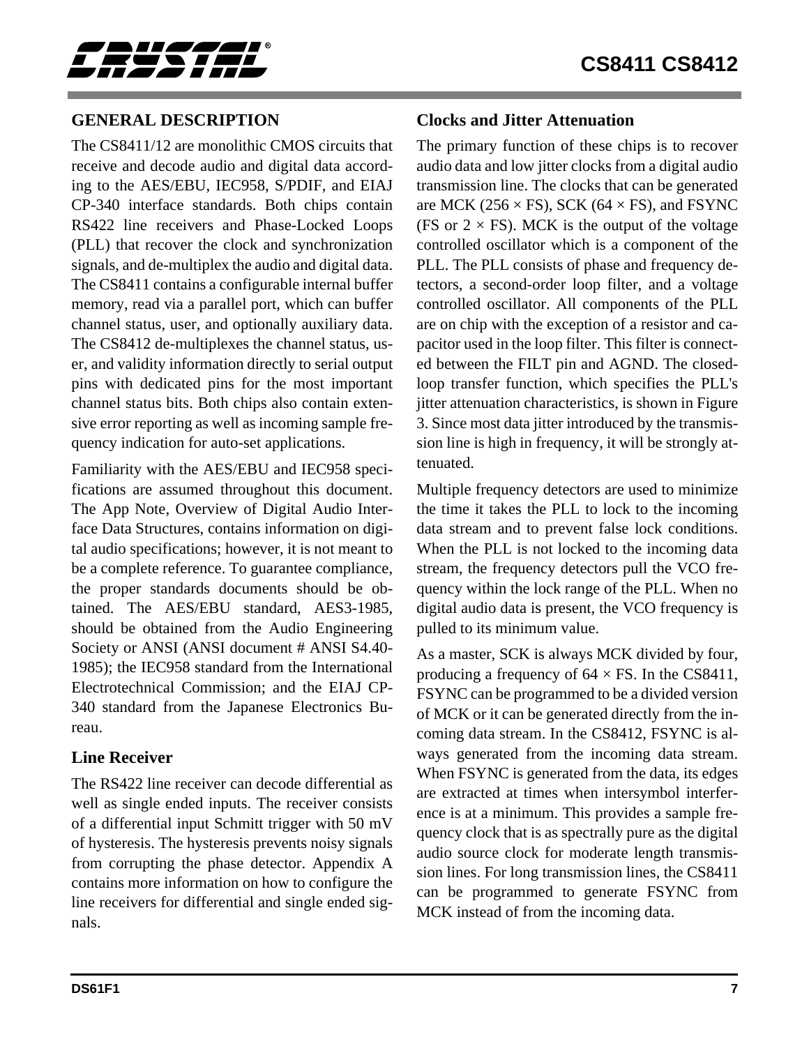<span id="page-6-0"></span>

## **GENERAL DESCRIPTION**

The CS8411/12 are monolithic CMOS circuits that receive and decode audio and digital data according to the AES/EBU, IEC958, S/PDIF, and EIAJ CP-340 interface standards. Both chips contain RS422 line receivers and Phase-Locked Loops (PLL) that recover the clock and synchronization signals, and de-multiplex the audio and digital data. The CS8411 contains a configurable internal buffer memory, read via a parallel port, which can buffer channel status, user, and optionally auxiliary data. The CS8412 de-multiplexes the channel status, user, and validity information directly to serial output pins with dedicated pins for the most important channel status bits. Both chips also contain extensive error reporting as well as incoming sample frequency indication for auto-set applications.

Familiarity with the AES/EBU and IEC958 specifications are assumed throughout this document. The App Note, Overview of Digital Audio Interface Data Structures, contains information on digital audio specifications; however, it is not meant to be a complete reference. To guarantee compliance, the proper standards documents should be obtained. The AES/EBU standard, AES3-1985, should be obtained from the Audio Engineering Society or ANSI (ANSI document # ANSI S4.40- 1985); the IEC958 standard from the International Electrotechnical Commission; and the EIAJ CP-340 standard from the Japanese Electronics Bureau.

### **Line Receiver**

The RS422 line receiver can decode differential as well as single ended inputs. The receiver consists of a differential input Schmitt trigger with 50 mV of hysteresis. The hysteresis prevents noisy signals from corrupting the phase detector. Appendix A contains more information on how to configure the line receivers for differential and single ended signals.

## **Clocks and Jitter Attenuation**

The primary function of these chips is to recover audio data and low jitter clocks from a digital audio transmission line. The clocks that can be generated are MCK (256  $\times$  FS), SCK (64  $\times$  FS), and FSYNC (FS or  $2 \times$  FS). MCK is the output of the voltage controlled oscillator which is a component of the PLL. The PLL consists of phase and frequency detectors, a second-order loop filter, and a voltage controlled oscillator. All components of the PLL are on chip with the exception of a resistor and capacitor used in the loop filter. This filter is connected between the FILT pin and AGND. The closedloop transfer function, which specifies the PLL's jitter attenuation characteristics, is shown in Figure [3](#page-7-0). Since most data jitter introduced by the transmission line is high in frequency, it will be strongly attenuated.

Multiple frequency detectors are used to minimize the time it takes the PLL to lock to the incoming data stream and to prevent false lock conditions. When the PLL is not locked to the incoming data stream, the frequency detectors pull the VCO frequency within the lock range of the PLL. When no digital audio data is present, the VCO frequency is pulled to its minimum value.

As a master, SCK is always MCK divided by four, producing a frequency of  $64 \times FS$ . In the CS8411, FSYNC can be programmed to be a divided version of MCK or it can be generated directly from the incoming data stream. In the CS8412, FSYNC is always generated from the incoming data stream. When FSYNC is generated from the data, its edges are extracted at times when intersymbol interference is at a minimum. This provides a sample frequency clock that is as spectrally pure as the digital audio source clock for moderate length transmission lines. For long transmission lines, the CS8411 can be programmed to generate FSYNC from MCK instead of from the incoming data.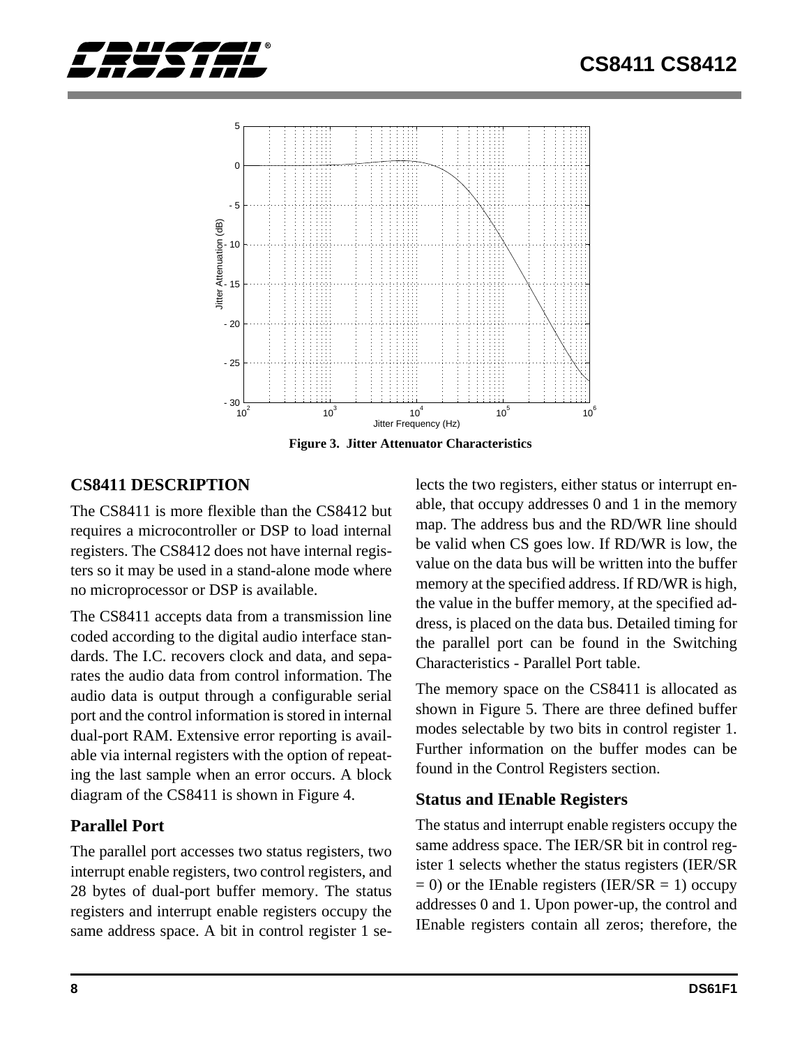<span id="page-7-0"></span>



**Figure 3. Jitter Attenuator Characteristics**

## **CS8411 DESCRIPTION**

The CS8411 is more flexible than the CS8412 but requires a microcontroller or DSP to load internal registers. The CS8412 does not have internal registers so it may be used in a stand-alone mode where no microprocessor or DSP is available.

The CS8411 accepts data from a transmission line coded according to the digital audio interface standards. The I.C. recovers clock and data, and separates the audio data from control information. The audio data is output through a configurable serial port and the control information is stored in internal dual-port RAM. Extensive error reporting is available via internal registers with the option of repeating the last sample when an error occurs. A block diagram of the CS8411 is shown in Figure [4.](#page-8-0)

## **Parallel Port**

The parallel port accesses two status registers, two interrupt enable registers, two control registers, and 28 bytes of dual-port buffer memory. The status registers and interrupt enable registers occupy the same address space. A bit in control register 1 selects the two registers, either status or interrupt enable, that occupy addresses 0 and 1 in the memory map. The address bus and the RD/WR line should be valid when CS goes low. If RD/WR is low, the value on the data bus will be written into the buffer memory at the specified address. If RD/WR is high, the value in the buffer memory, at the specified address, is placed on the data bus. Detailed timing for the parallel port can be found in the Switching Characteristics - Parallel Port table.

The memory space on the CS8411 is allocated as shown in Figure [5.](#page-9-0) There are three defined buffer modes selectable by two bits in control register 1. Further information on the buffer modes can be found in the Control Registers section.

### **Status and IEnable Registers**

The status and interrupt enable registers occupy the same address space. The IER/SR bit in control register 1 selects whether the status registers (IER/SR  $= 0$ ) or the IEnable registers (IER/SR  $= 1$ ) occupy addresses 0 and 1. Upon power-up, the control and IEnable registers contain all zeros; therefore, the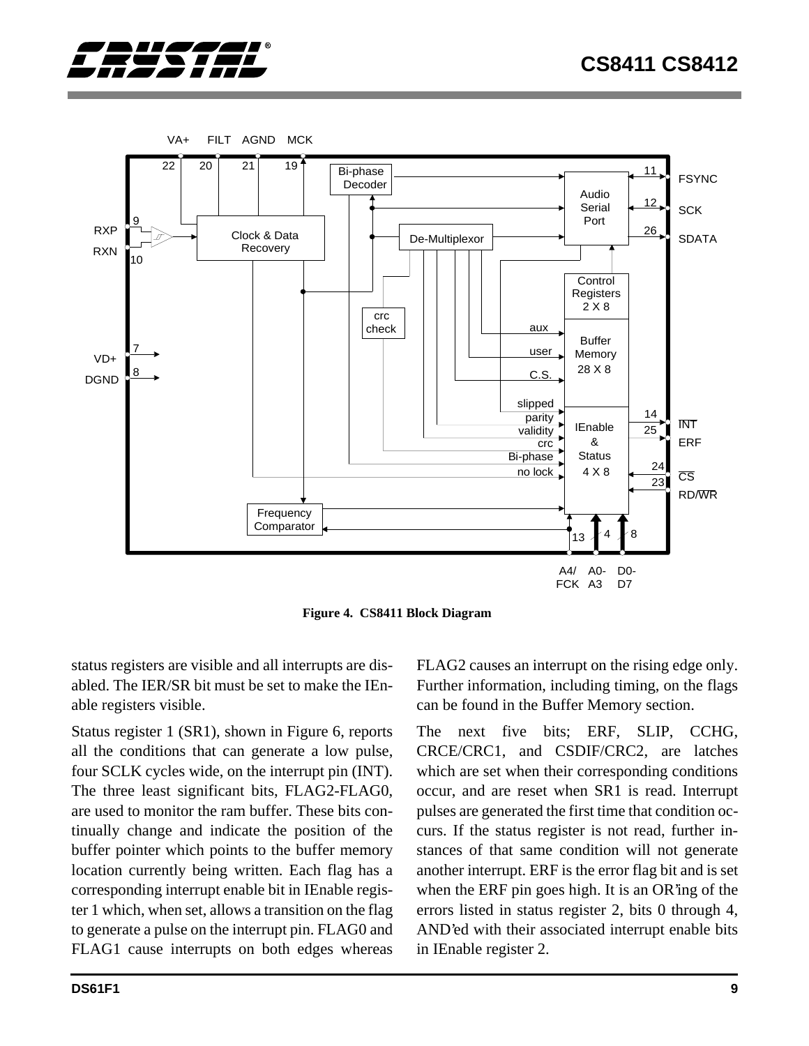<span id="page-8-0"></span>



**Figure 4. CS8411 Block Diagram**

status registers are visible and all interrupts are disabled. The IER/SR bit must be set to make the IEnable registers visible.

Status register 1 (SR1), shown in Figure [6,](#page-9-0) reports all the conditions that can generate a low pulse, four SCLK cycles wide, on the interrupt pin (INT). The three least significant bits, FLAG2-FLAG0, are used to monitor the ram buffer. These bits continually change and indicate the position of the buffer pointer which points to the buffer memory location currently being written. Each flag has a corresponding interrupt enable bit in IEnable register 1 which, when set, allows a transition on the flag to generate a pulse on the interrupt pin. FLAG0 and FLAG1 cause interrupts on both edges whereas

FLAG2 causes an interrupt on the rising edge only. Further information, including timing, on the flags can be found in the Buffer Memory section.

The next five bits; ERF, SLIP, CCHG, CRCE/CRC1, and CSDIF/CRC2, are latches which are set when their corresponding conditions occur, and are reset when SR1 is read. Interrupt pulses are generated the first time that condition occurs. If the status register is not read, further instances of that same condition will not generate another interrupt. ERF is the error flag bit and is set when the ERF pin goes high. It is an OR'ing of the errors listed in status register 2, bits 0 through 4, AND'ed with their associated interrupt enable bits in IEnable register 2.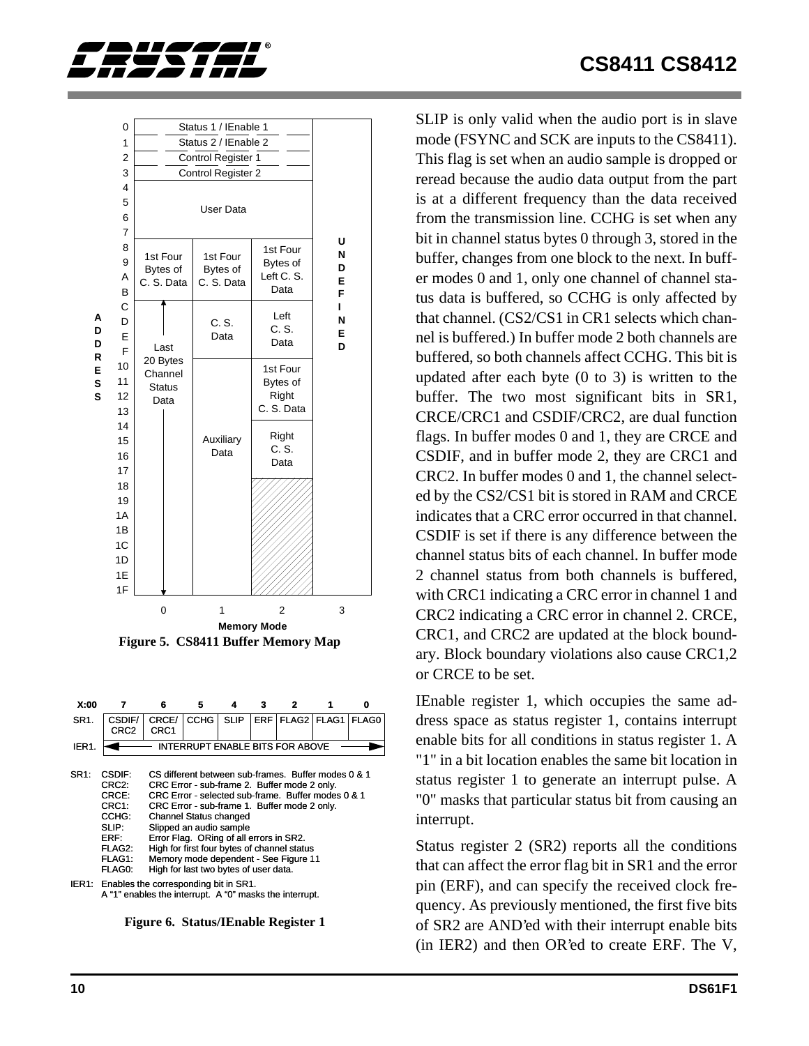<span id="page-9-0"></span>



**X:00 7 6 5 4 3 2 1 0** SR<sub>1</sub>. CSDIF/ CRCE/ CCHG SLIP ERF FLAG2 FLAG1 FLAG0 CRC1 CRC2 IER1. **INTERRUPT ENABLE BITS FOR ABOVE** Þ SR1: CSDIF: CS different between sub-frames. Buffer modes 0 & 1<br>CRC2: CRC Error - sub-frame 2. Buffer mode 2 only. CRC Error - sub-frame 2. Buffer mode 2 only. CRCE: CRC Error - selected sub-frame. Buffer modes 0 & 1<br>CRC1: CRC Error - sub-frame 1. Buffer mode 2 only. CRC1: CRC Error - sub-frame 1. Buffer mode 2 only.<br>CCHG: Channel Status changed Channel Status changed SLIP: Slipped an audio sample<br>ERF: Error Flag. ORing of all Error Flag. ORing of all errors in SR2. FLAG2: High for first four bytes of channel status FLAG1: Memory mode dependent - See Figure [11](#page-15-0) FLAG0: High for last two bytes of user data. IER1: Enables the corresponding bit in SR1. A "1" enables the interrupt. A "0" masks the interrupt.

**Figure 6. Status/IEnable Register 1**

SLIP is only valid when the audio port is in slave mode (FSYNC and SCK are inputs to the CS8411). This flag is set when an audio sample is dropped or reread because the audio data output from the part is at a different frequency than the data received from the transmission line. CCHG is set when any bit in channel status bytes 0 through 3, stored in the buffer, changes from one block to the next. In buffer modes 0 and 1, only one channel of channel status data is buffered, so CCHG is only affected by that channel. (CS2/CS1 in CR1 selects which channel is buffered.) In buffer mode 2 both channels are buffered, so both channels affect CCHG. This bit is updated after each byte (0 to 3) is written to the buffer. The two most significant bits in SR1, CRCE/CRC1 and CSDIF/CRC2, are dual function flags. In buffer modes 0 and 1, they are CRCE and CSDIF, and in buffer mode 2, they are CRC1 and CRC2. In buffer modes 0 and 1, the channel selected by the CS2/CS1 bit is stored in RAM and CRCE indicates that a CRC error occurred in that channel. CSDIF is set if there is any difference between the channel status bits of each channel. In buffer mode 2 channel status from both channels is buffered, with CRC1 indicating a CRC error in channel 1 and CRC2 indicating a CRC error in channel 2. CRCE, CRC1, and CRC2 are updated at the block boundary. Block boundary violations also cause CRC1,2 or CRCE to be set.

IEnable register 1, which occupies the same address space as status register 1, contains interrupt enable bits for all conditions in status register 1. A "1" in a bit location enables the same bit location in status register 1 to generate an interrupt pulse. A "0" masks that particular status bit from causing an interrupt.

Status register 2 (SR2) reports all the conditions that can affect the error flag bit in SR1 and the error pin (ERF), and can specify the received clock frequency. As previously mentioned, the first five bits of SR2 are AND'ed with their interrupt enable bits (in IER2) and then OR'ed to create ERF. The V,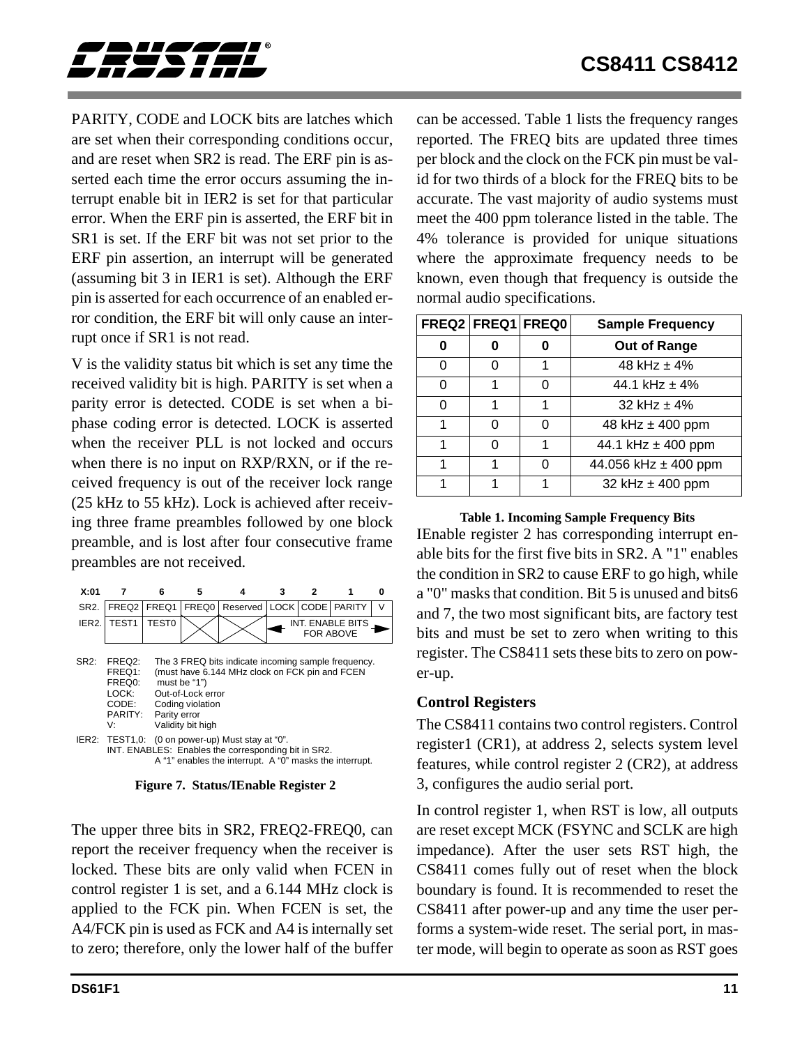<span id="page-10-0"></span>

PARITY, CODE and LOCK bits are latches which are set when their corresponding conditions occur, and are reset when SR2 is read. The ERF pin is asserted each time the error occurs assuming the interrupt enable bit in IER2 is set for that particular error. When the ERF pin is asserted, the ERF bit in SR1 is set. If the ERF bit was not set prior to the ERF pin assertion, an interrupt will be generated (assuming bit 3 in IER1 is set). Although the ERF pin is asserted for each occurrence of an enabled error condition, the ERF bit will only cause an interrupt once if SR1 is not read.

V is the validity status bit which is set any time the received validity bit is high. PARITY is set when a parity error is detected. CODE is set when a biphase coding error is detected. LOCK is asserted when the receiver PLL is not locked and occurs when there is no input on RXP/RXN, or if the received frequency is out of the receiver lock range (25 kHz to 55 kHz). Lock is achieved after receiving three frame preambles followed by one block preamble, and is lost after four consecutive frame preambles are not received.

| X:01             |                                                                                                                                                                                                                                                                      | հ                 | 5     |          |  |           |                                      | Λ |
|------------------|----------------------------------------------------------------------------------------------------------------------------------------------------------------------------------------------------------------------------------------------------------------------|-------------------|-------|----------|--|-----------|--------------------------------------|---|
| SR <sub>2</sub>  | FREQ2                                                                                                                                                                                                                                                                | FREQ1             | FREQ0 | Reserved |  | LOCK CODE | <b>PARITY</b>                        | V |
| IER <sub>2</sub> | TEST <sub>1</sub>                                                                                                                                                                                                                                                    | TEST <sub>0</sub> |       |          |  |           | INT. ENABLE BITS<br><b>FOR ABOVE</b> |   |
| SR2:             | FREQ2:<br>The 3 FREQ bits indicate incoming sample frequency.<br>(must have 6.144 MHz clock on FCK pin and FCEN<br>FREQ1:<br>FREQ0:<br>must be "1")<br>Out-of-Lock error<br>LOCK:<br>CODE:<br>Coding violation<br>PARITY:<br>Parity error<br>Validity bit high<br>V٠ |                   |       |          |  |           |                                      |   |
|                  | IER2: TEST1,0: (0 on power-up) Must stay at "0".<br>INT. ENABLES: Enables the corresponding bit in SR2.<br>A "1" enables the interrupt. A "0" masks the interrupt.                                                                                                   |                   |       |          |  |           |                                      |   |

**Figure 7. Status/IEnable Register 2**

The upper three bits in SR2, FREQ2-FREQ0, can report the receiver frequency when the receiver is locked. These bits are only valid when FCEN in control register 1 is set, and a 6.144 MHz clock is applied to the FCK pin. When FCEN is set, the A4/FCK pin is used as FCK and A4 is internally set to zero; therefore, only the lower half of the buffer

can be accessed. Table 1 lists the frequency ranges reported. The FREQ bits are updated three times per block and the clock on the FCK pin must be valid for two thirds of a block for the FREQ bits to be accurate. The vast majority of audio systems must meet the 400 ppm tolerance listed in the table. The 4% tolerance is provided for unique situations where the approximate frequency needs to be known, even though that frequency is outside the normal audio specifications.

|   | FREQ2 FREQ1 FREQ0 | <b>Sample Frequency</b> |
|---|-------------------|-------------------------|
| 0 | O                 | Out of Range            |
| 0 | ი                 | 48 kHz $\pm$ 4%         |
| 0 |                   | 44.1 kHz $\pm$ 4%       |
| O |                   | 32 kHz $\pm$ 4%         |
| 1 | ი                 | 48 kHz $\pm$ 400 ppm    |
|   | ი                 | 44.1 kHz ± 400 ppm      |
|   |                   | 44.056 kHz ± 400 ppm    |
|   |                   | 32 kHz ± 400 ppm        |

**Table 1. Incoming Sample Frequency Bits** IEnable register 2 has corresponding interrupt enable bits for the first five bits in SR2. A "1" enables the condition in SR2 to cause ERF to go high, while a "0" masks that condition. Bit 5 is unused and bits6 and 7, the two most significant bits, are factory test bits and must be set to zero when writing to this register. The CS8411 sets these bits to zero on power-up.

#### **Control Registers**

The CS8411 contains two control registers. Control register1 (CR1), at address 2, selects system level features, while control register 2 (CR2), at address 3, configures the audio serial port.

In control register 1, when RST is low, all outputs are reset except MCK (FSYNC and SCLK are high impedance). After the user sets RST high, the CS8411 comes fully out of reset when the block boundary is found. It is recommended to reset the CS8411 after power-up and any time the user performs a system-wide reset. The serial port, in master mode, will begin to operate as soon as RST goes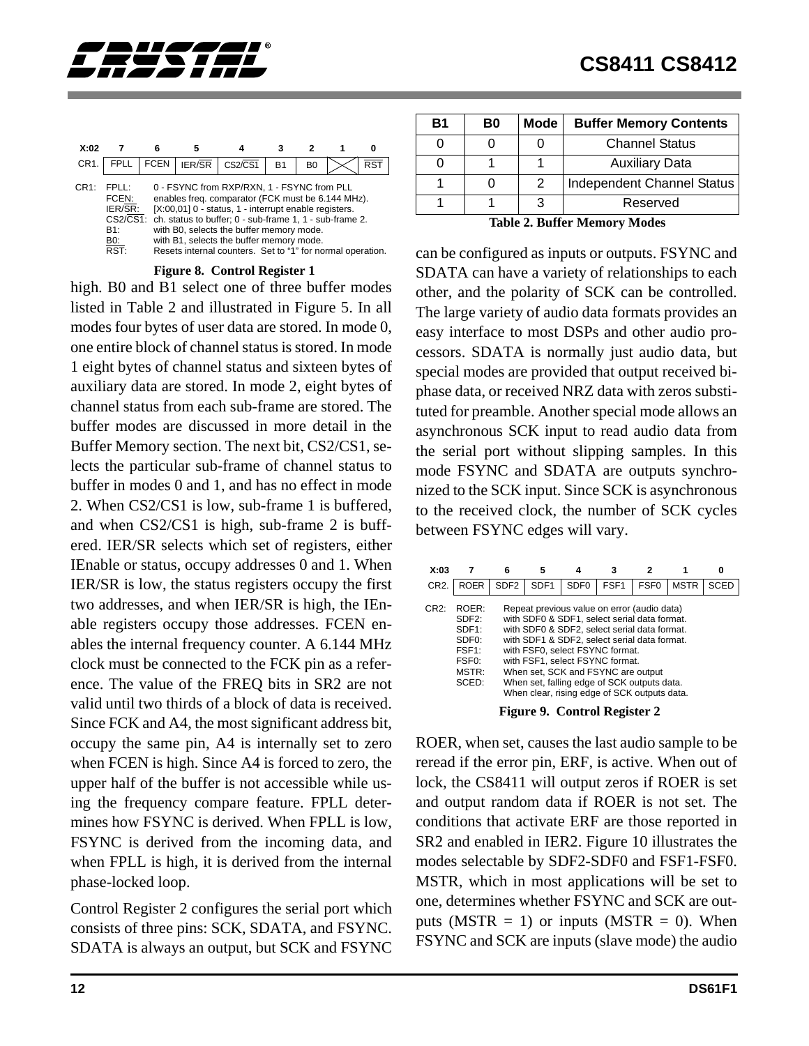

| X:02             |                                                                      | Բ           | 5      |                                                                                                                                                                                                                                                                                                                                                                           |                |                | 0               |
|------------------|----------------------------------------------------------------------|-------------|--------|---------------------------------------------------------------------------------------------------------------------------------------------------------------------------------------------------------------------------------------------------------------------------------------------------------------------------------------------------------------------------|----------------|----------------|-----------------|
| CR <sub>1</sub>  | <b>FPLL</b>                                                          | <b>FCEN</b> | IER/SR | $CS2\overline{CS1}$                                                                                                                                                                                                                                                                                                                                                       | R <sub>1</sub> | B <sub>0</sub> | RS <sup>-</sup> |
| CR <sub>1:</sub> | FPI I.<br>FCEN:<br>IER/SR:<br>$CS2\sqrt{CS1}$ :<br>B1:<br>B0:<br>RST |             |        | 0 - FSYNC from RXP/RXN, 1 - FSYNC from PLL<br>enables freq. comparator (FCK must be 6.144 MHz).<br>[X:00,01] 0 - status, 1 - interrupt enable registers.<br>ch. status to buffer; 0 - sub-frame 1, 1 - sub-frame 2.<br>with B0, selects the buffer memory mode.<br>with B1, selects the buffer memory mode.<br>Resets internal counters. Set to "1" for normal operation. |                |                |                 |

**Figure 8. Control Register 1**

high. B0 and B1 select one of three buffer modes listed in Table 2 and illustrated in Figure 5. In all modes four bytes of user data are stored. In mode 0, one entire block of channel status is stored. In mode 1 eight bytes of channel status and sixteen bytes of auxiliary data are stored. In mode 2, eight bytes of channel status from each sub-frame are stored. The buffer modes are discussed in more detail in the Buffer Memory section. The next bit, CS2/CS1, selects the particular sub-frame of channel status to buffer in modes 0 and 1, and has no effect in mode 2. When CS2/CS1 is low, sub-frame 1 is buffered, and when CS2/CS1 is high, sub-frame 2 is buffered. IER/SR selects which set of registers, either IEnable or status, occupy addresses 0 and 1. When IER/SR is low, the status registers occupy the first two addresses, and when IER/SR is high, the IEnable registers occupy those addresses. FCEN enables the internal frequency counter. A 6.144 MHz clock must be connected to the FCK pin as a reference. The value of the FREQ bits in SR2 are not valid until two thirds of a block of data is received. Since FCK and A4, the most significant address bit, occupy the same pin, A4 is internally set to zero when FCEN is high. Since A4 is forced to zero, the upper half of the buffer is not accessible while using the frequency compare feature. FPLL determines how FSYNC is derived. When FPLL is low, FSYNC is derived from the incoming data, and when FPLL is high, it is derived from the internal phase-locked loop.

Control Register 2 configures the serial port which consists of three pins: SCK, SDATA, and FSYNC. SDATA is always an output, but SCK and FSYNC

| Β1                          | B0 | Mode          | <b>Buffer Memory Contents</b> |  |  |  |
|-----------------------------|----|---------------|-------------------------------|--|--|--|
|                             |    |               | <b>Channel Status</b>         |  |  |  |
|                             |    |               | <b>Auxiliary Data</b>         |  |  |  |
|                             |    | $\mathcal{P}$ | Independent Channel Status    |  |  |  |
|                             |    | 3             | Reserved                      |  |  |  |
| Toble 2 Duffer Moment Modes |    |               |                               |  |  |  |

**Table 2. Buffer Memory Modes**

can be configured as inputs or outputs. FSYNC and SDATA can have a variety of relationships to each other, and the polarity of SCK can be controlled. The large variety of audio data formats provides an easy interface to most DSPs and other audio processors. SDATA is normally just audio data, but special modes are provided that output received biphase data, or received NRZ data with zeros substituted for preamble. Another special mode allows an asynchronous SCK input to read audio data from the serial port without slipping samples. In this mode FSYNC and SDATA are outputs synchronized to the SCK input. Since SCK is asynchronous to the received clock, the number of SCK cycles between FSYNC edges will vary.

| X:03              |                                                                                                                          | 6                | 5                | 4                                                                                                                                                                                                                                                                                                                                                                                                      | 3                |                  |             | 0           |
|-------------------|--------------------------------------------------------------------------------------------------------------------------|------------------|------------------|--------------------------------------------------------------------------------------------------------------------------------------------------------------------------------------------------------------------------------------------------------------------------------------------------------------------------------------------------------------------------------------------------------|------------------|------------------|-------------|-------------|
| CR <sub>2</sub> . | <b>ROER</b>                                                                                                              | SDF <sub>2</sub> | SDF <sub>1</sub> | SDF <sub>0</sub>                                                                                                                                                                                                                                                                                                                                                                                       | FSF <sub>1</sub> | FSF <sub>0</sub> | <b>MSTR</b> | <b>SCED</b> |
| CR2:              | ROER:<br>SDF <sub>2</sub> :<br>SDF <sub>1</sub> :<br>SDF <sub>0</sub> :<br>FSF1:<br>FSF <sub>0</sub> :<br>MSTR:<br>SCED: |                  |                  | Repeat previous value on error (audio data)<br>with SDF0 & SDF1, select serial data format.<br>with SDF0 & SDF2, select serial data format.<br>with SDF1 & SDF2, select serial data format.<br>with FSF0, select FSYNC format.<br>with FSF1, select FSYNC format.<br>When set, SCK and FSYNC are output<br>When set, falling edge of SCK outputs data.<br>When clear, rising edge of SCK outputs data. |                  |                  |             |             |
|                   |                                                                                                                          |                  |                  | $\mathbf{E}$ and $\mathbf{E}$                                                                                                                                                                                                                                                                                                                                                                          |                  |                  |             |             |

**Figure 9. Control Register 2**

ROER, when set, causes the last audio sample to be reread if the error pin, ERF, is active. When out of lock, the CS8411 will output zeros if ROER is set and output random data if ROER is not set. The conditions that activate ERF are those reported in SR2 and enabled in IER2. Figure [10](#page-12-0) illustrates the modes selectable by SDF2-SDF0 and FSF1-FSF0. MSTR, which in most applications will be set to one, determines whether FSYNC and SCK are outputs ( $MSTR = 1$ ) or inputs ( $MSTR = 0$ ). When FSYNC and SCK are inputs (slave mode) the audio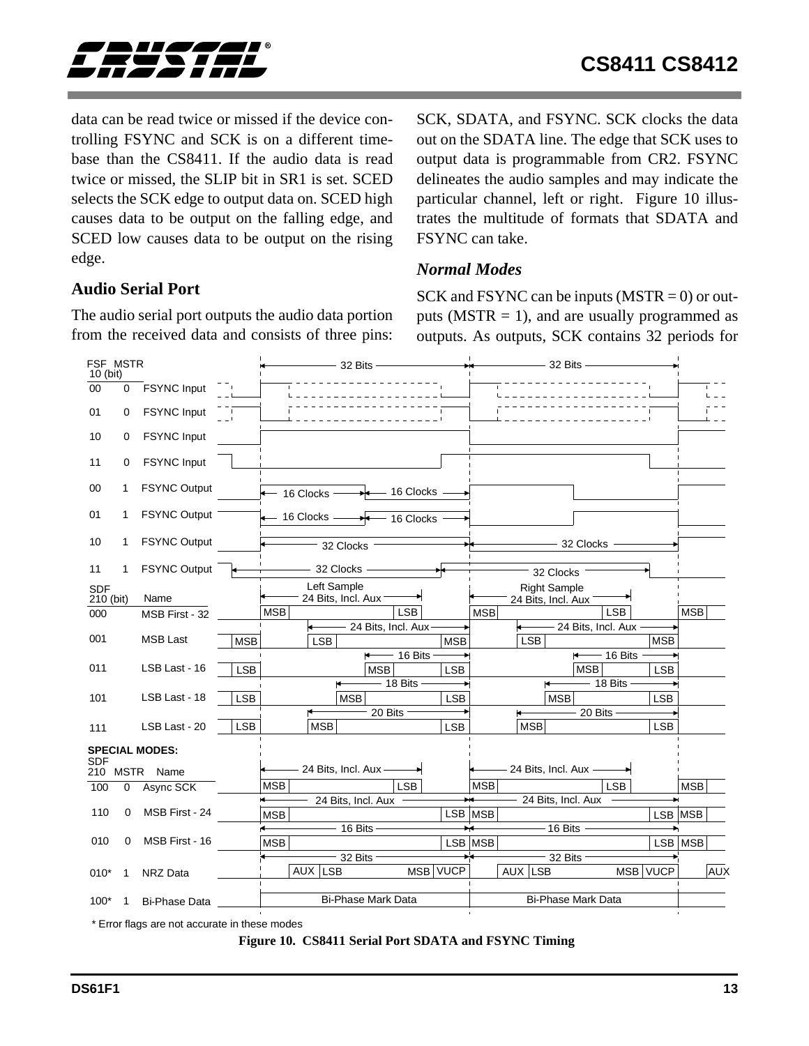<span id="page-12-0"></span>

data can be read twice or missed if the device controlling FSYNC and SCK is on a different timebase than the CS8411. If the audio data is read twice or missed, the SLIP bit in SR1 is set. SCED selects the SCK edge to output data on. SCED high causes data to be output on the falling edge, and SCED low causes data to be output on the rising edge.

## **Audio Serial Port**

The audio serial port outputs the audio data portion from the received data and consists of three pins: SCK, SDATA, and FSYNC. SCK clocks the data out on the SDATA line. The edge that SCK uses to output data is programmable from CR2. FSYNC delineates the audio samples and may indicate the particular channel, left or right. Figure 10 illustrates the multitude of formats that SDATA and FSYNC can take.

## *Normal Modes*

SCK and FSYNC can be inputs  $(MSTR = 0)$  or outputs ( $MSTR = 1$ ), and are usually programmed as outputs. As outputs, SCK contains 32 periods for



\* Error flags are not accurate in these modes

#### **Figure 10. CS8411 Serial Port SDATA and FSYNC Timing**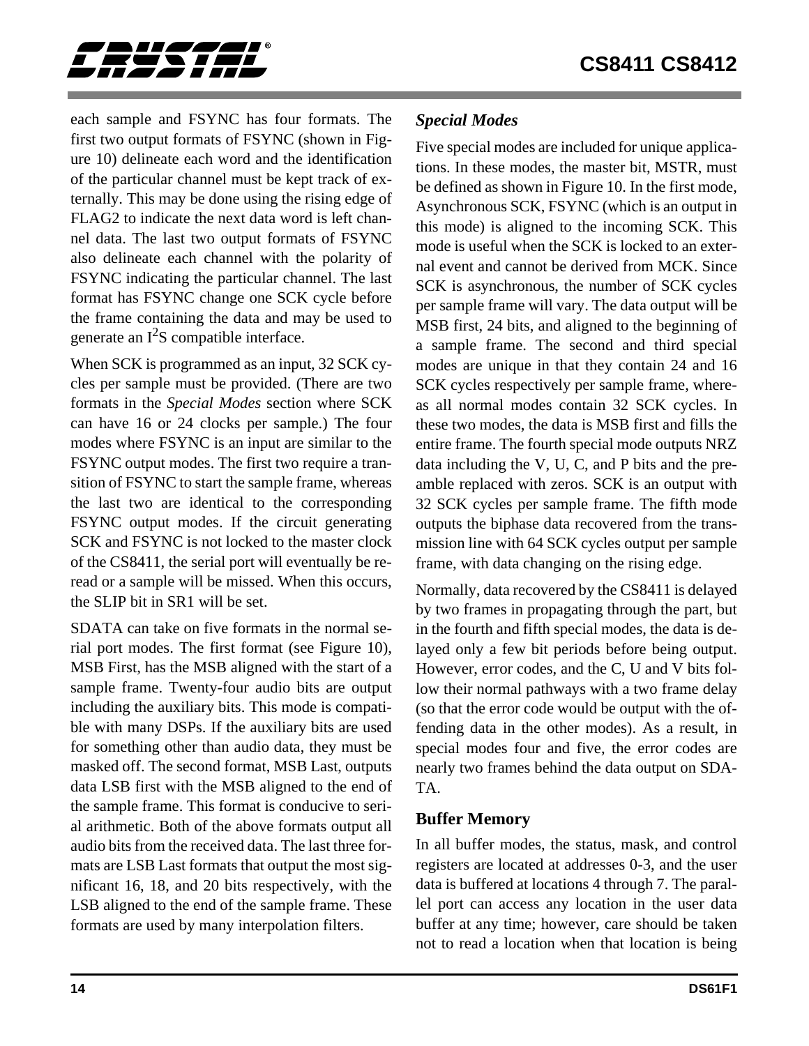<span id="page-13-0"></span>

each sample and FSYNC has four formats. The first two output formats of FSYNC (shown in Figure [10](#page-12-0)) delineate each word and the identification of the particular channel must be kept track of externally. This may be done using the rising edge of FLAG2 to indicate the next data word is left channel data. The last two output formats of FSYNC also delineate each channel with the polarity of FSYNC indicating the particular channel. The last format has FSYNC change one SCK cycle before the frame containing the data and may be used to generate an  $I^2S$  compatible interface.

When SCK is programmed as an input, 32 SCK cycles per sample must be provided. (There are two formats in the *Special Modes* section where SCK can have 16 or 24 clocks per sample.) The four modes where FSYNC is an input are similar to the FSYNC output modes. The first two require a transition of FSYNC to start the sample frame, whereas the last two are identical to the corresponding FSYNC output modes. If the circuit generating SCK and FSYNC is not locked to the master clock of the CS8411, the serial port will eventually be reread or a sample will be missed. When this occurs, the SLIP bit in SR1 will be set.

SDATA can take on five formats in the normal serial port modes. The first format (see Figure [10\)](#page-12-0), MSB First, has the MSB aligned with the start of a sample frame. Twenty-four audio bits are output including the auxiliary bits. This mode is compatible with many DSPs. If the auxiliary bits are used for something other than audio data, they must be masked off. The second format, MSB Last, outputs data LSB first with the MSB aligned to the end of the sample frame. This format is conducive to serial arithmetic. Both of the above formats output all audio bits from the received data. The last three formats are LSB Last formats that output the most significant 16, 18, and 20 bits respectively, with the LSB aligned to the end of the sample frame. These formats are used by many interpolation filters.

## *Special Modes*

Five special modes are included for unique applications. In these modes, the master bit, MSTR, must be defined as shown in Figure [10](#page-12-0). In the first mode, Asynchronous SCK, FSYNC (which is an output in this mode) is aligned to the incoming SCK. This mode is useful when the SCK is locked to an external event and cannot be derived from MCK. Since SCK is asynchronous, the number of SCK cycles per sample frame will vary. The data output will be MSB first, 24 bits, and aligned to the beginning of a sample frame. The second and third special modes are unique in that they contain 24 and 16 SCK cycles respectively per sample frame, whereas all normal modes contain 32 SCK cycles. In these two modes, the data is MSB first and fills the entire frame. The fourth special mode outputs NRZ data including the V, U, C, and P bits and the preamble replaced with zeros. SCK is an output with 32 SCK cycles per sample frame. The fifth mode outputs the biphase data recovered from the transmission line with 64 SCK cycles output per sample frame, with data changing on the rising edge.

Normally, data recovered by the CS8411 is delayed by two frames in propagating through the part, but in the fourth and fifth special modes, the data is delayed only a few bit periods before being output. However, error codes, and the C, U and V bits follow their normal pathways with a two frame delay (so that the error code would be output with the offending data in the other modes). As a result, in special modes four and five, the error codes are nearly two frames behind the data output on SDA-TA.

## **Buffer Memory**

In all buffer modes, the status, mask, and control registers are located at addresses 0-3, and the user data is buffered at locations 4 through 7. The parallel port can access any location in the user data buffer at any time; however, care should be taken not to read a location when that location is being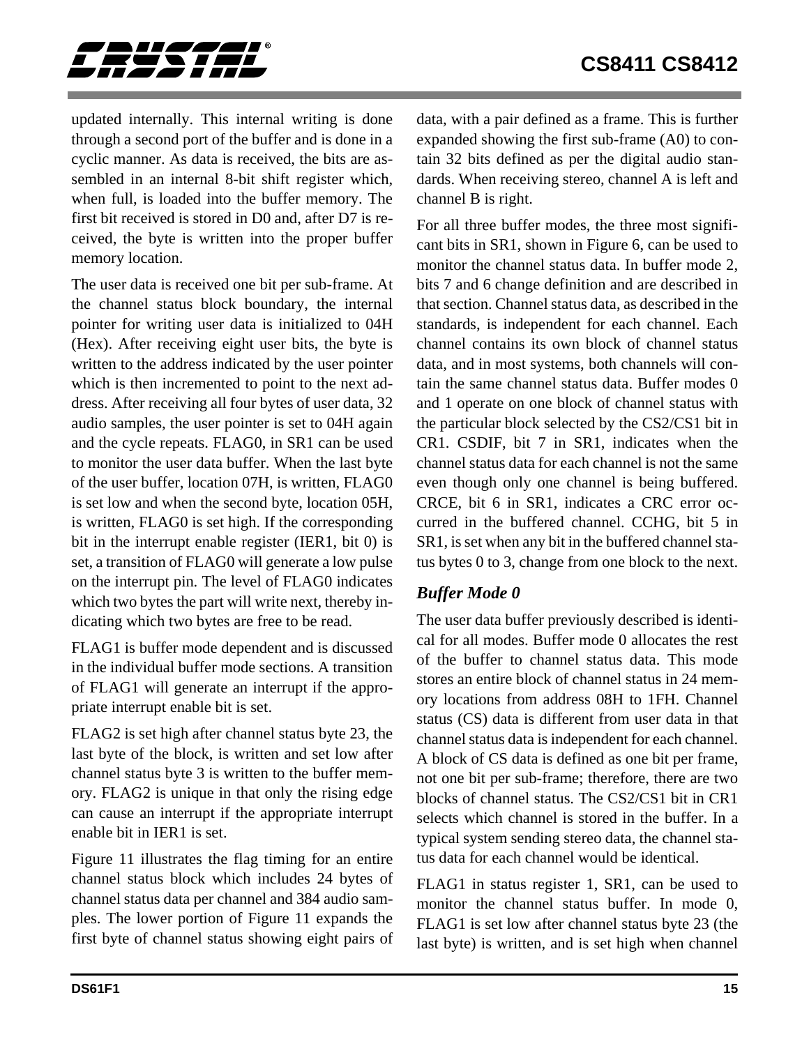<span id="page-14-0"></span>

updated internally. This internal writing is done through a second port of the buffer and is done in a cyclic manner. As data is received, the bits are assembled in an internal 8-bit shift register which, when full, is loaded into the buffer memory. The first bit received is stored in D0 and, after D7 is received, the byte is written into the proper buffer memory location.

The user data is received one bit per sub-frame. At the channel status block boundary, the internal pointer for writing user data is initialized to 04H (Hex). After receiving eight user bits, the byte is written to the address indicated by the user pointer which is then incremented to point to the next address. After receiving all four bytes of user data, 32 audio samples, the user pointer is set to 04H again and the cycle repeats. FLAG0, in SR1 can be used to monitor the user data buffer. When the last byte of the user buffer, location 07H, is written, FLAG0 is set low and when the second byte, location 05H, is written, FLAG0 is set high. If the corresponding bit in the interrupt enable register (IER1, bit 0) is set, a transition of FLAG0 will generate a low pulse on the interrupt pin. The level of FLAG0 indicates which two bytes the part will write next, thereby indicating which two bytes are free to be read.

FLAG1 is buffer mode dependent and is discussed in the individual buffer mode sections. A transition of FLAG1 will generate an interrupt if the appropriate interrupt enable bit is set.

FLAG2 is set high after channel status byte 23, the last byte of the block, is written and set low after channel status byte 3 is written to the buffer memory. FLAG2 is unique in that only the rising edge can cause an interrupt if the appropriate interrupt enable bit in IER1 is set.

Figure [11](#page-15-0) illustrates the flag timing for an entire channel status block which includes 24 bytes of channel status data per channel and 384 audio samples. The lower portion of Figure [11](#page-15-0) expands the first byte of channel status showing eight pairs of data, with a pair defined as a frame. This is further expanded showing the first sub-frame (A0) to contain 32 bits defined as per the digital audio standards. When receiving stereo, channel A is left and channel B is right.

For all three buffer modes, the three most significant bits in SR1, shown in Figure [6,](#page-9-0) can be used to monitor the channel status data. In buffer mode 2, bits 7 and 6 change definition and are described in that section. Channel status data, as described in the standards, is independent for each channel. Each channel contains its own block of channel status data, and in most systems, both channels will contain the same channel status data. Buffer modes 0 and 1 operate on one block of channel status with the particular block selected by the CS2/CS1 bit in CR1. CSDIF, bit 7 in SR1, indicates when the channel status data for each channel is not the same even though only one channel is being buffered. CRCE, bit 6 in SR1, indicates a CRC error occurred in the buffered channel. CCHG, bit 5 in SR1, is set when any bit in the buffered channel status bytes 0 to 3, change from one block to the next.

## *Buffer Mode 0*

The user data buffer previously described is identical for all modes. Buffer mode 0 allocates the rest of the buffer to channel status data. This mode stores an entire block of channel status in 24 memory locations from address 08H to 1FH. Channel status (CS) data is different from user data in that channel status data is independent for each channel. A block of CS data is defined as one bit per frame, not one bit per sub-frame; therefore, there are two blocks of channel status. The CS2/CS1 bit in CR1 selects which channel is stored in the buffer. In a typical system sending stereo data, the channel status data for each channel would be identical.

FLAG1 in status register 1, SR1, can be used to monitor the channel status buffer. In mode 0, FLAG1 is set low after channel status byte 23 (the last byte) is written, and is set high when channel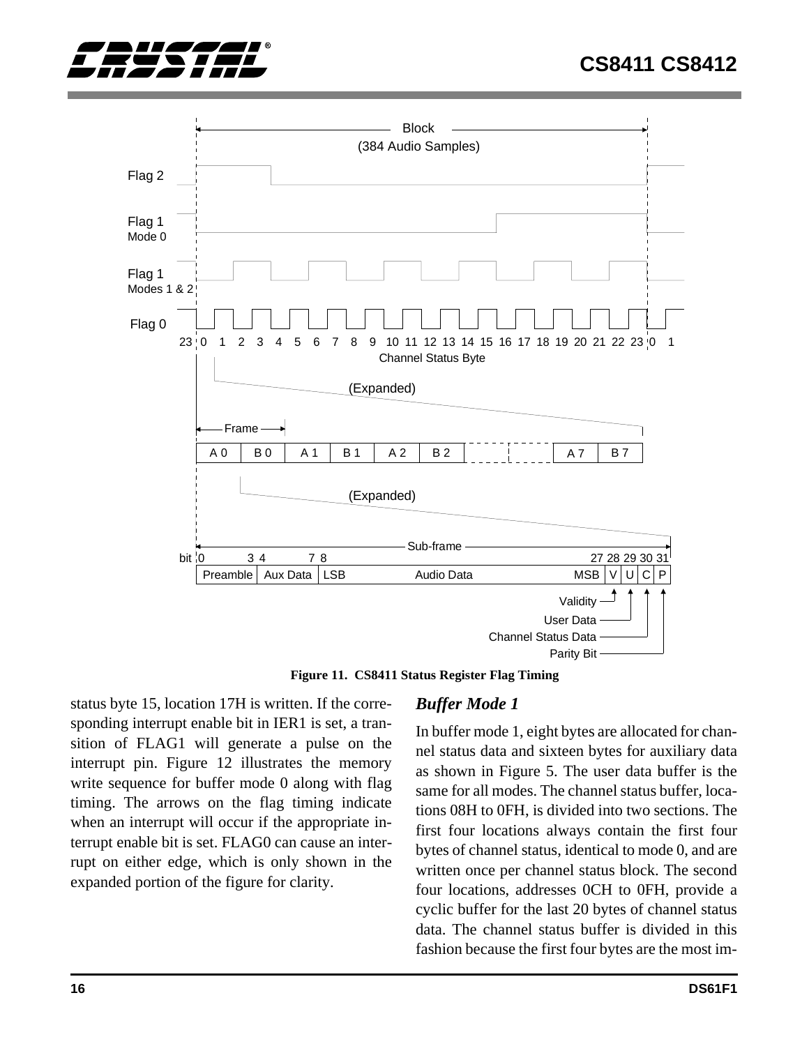<span id="page-15-0"></span>



**Figure 11. CS8411 Status Register Flag Timing**

status byte 15, location 17H is written. If the corresponding interrupt enable bit in IER1 is set, a transition of FLAG1 will generate a pulse on the interrupt pin. Figure [12](#page-16-0) illustrates the memory write sequence for buffer mode 0 along with flag timing. The arrows on the flag timing indicate when an interrupt will occur if the appropriate interrupt enable bit is set. FLAG0 can cause an interrupt on either edge, which is only shown in the expanded portion of the figure for clarity.

## *Buffer Mode 1*

In buffer mode 1, eight bytes are allocated for channel status data and sixteen bytes for auxiliary data as shown in Figure 5. The user data buffer is the same for all modes. The channel status buffer, locations 08H to 0FH, is divided into two sections. The first four locations always contain the first four bytes of channel status, identical to mode 0, and are written once per channel status block. The second four locations, addresses 0CH to 0FH, provide a cyclic buffer for the last 20 bytes of channel status data. The channel status buffer is divided in this fashion because the first four bytes are the most im-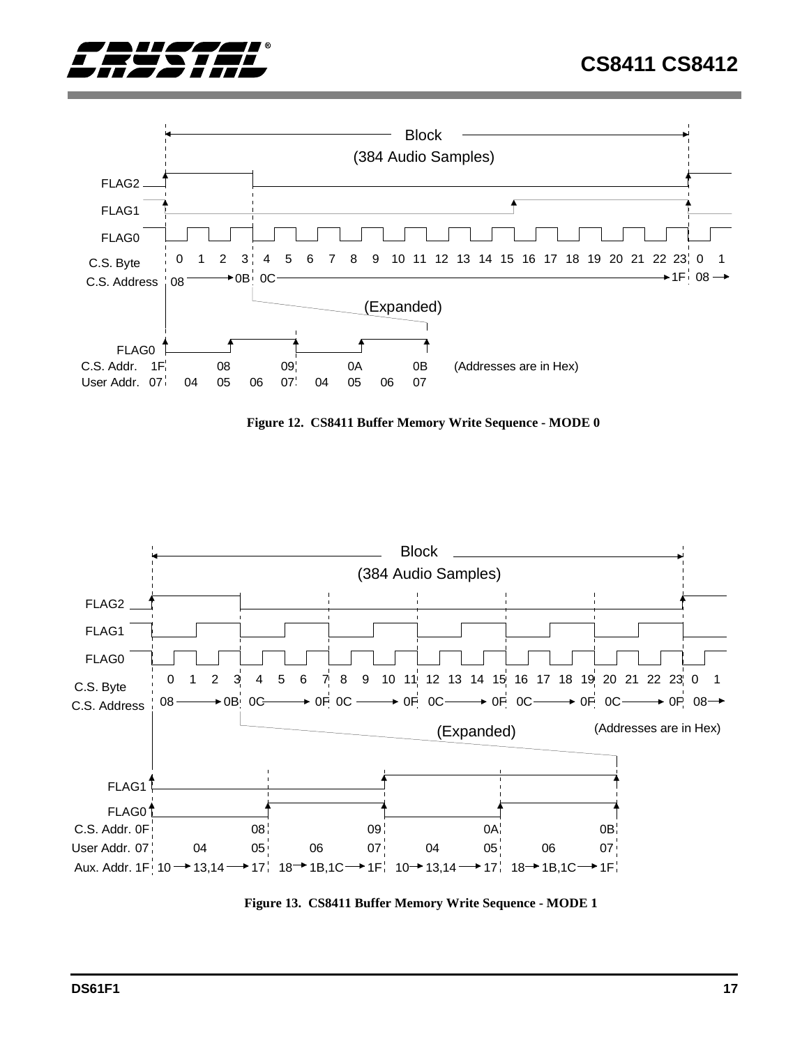<span id="page-16-0"></span>



**Figure 12. CS8411 Buffer Memory Write Sequence - MODE 0**



**Figure 13. CS8411 Buffer Memory Write Sequence - MODE 1**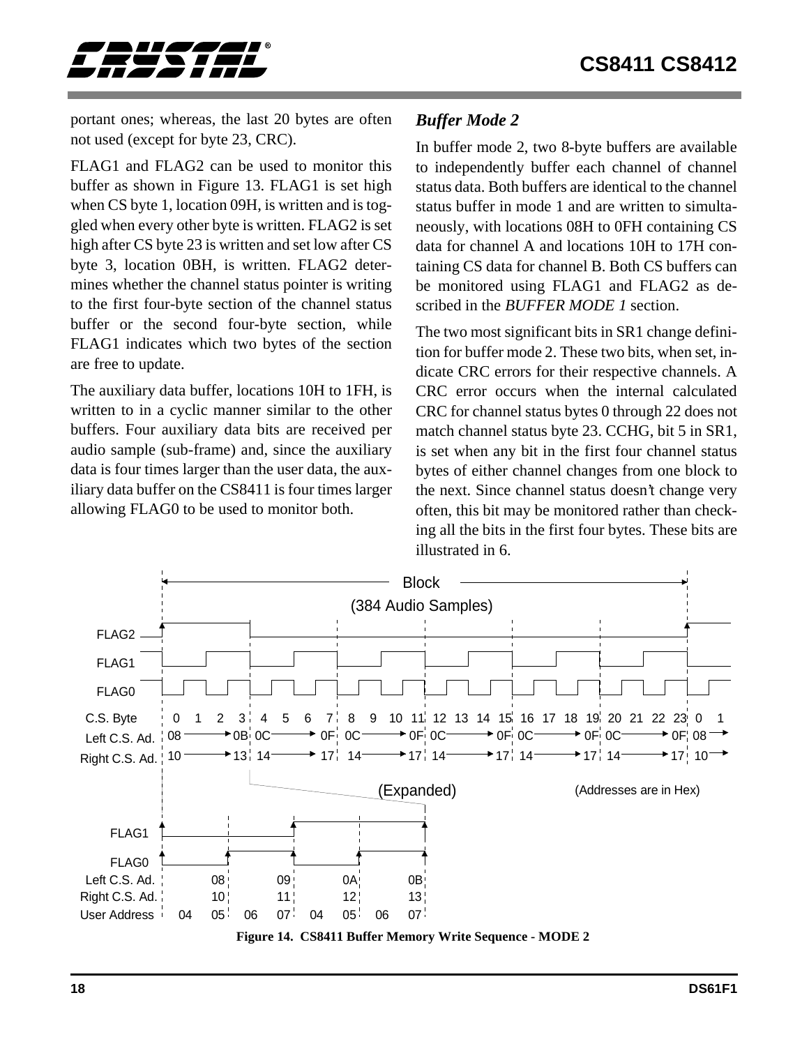<span id="page-17-0"></span>

portant ones; whereas, the last 20 bytes are often not used (except for byte 23, CRC).

FLAG1 and FLAG2 can be used to monitor this buffer as shown in Figure [13](#page-16-0). FLAG1 is set high when CS byte 1, location 09H, is written and is toggled when every other byte is written. FLAG2 is set high after CS byte 23 is written and set low after CS byte 3, location 0BH, is written. FLAG2 determines whether the channel status pointer is writing to the first four-byte section of the channel status buffer or the second four-byte section, while FLAG1 indicates which two bytes of the section are free to update.

The auxiliary data buffer, locations 10H to 1FH, is written to in a cyclic manner similar to the other buffers. Four auxiliary data bits are received per audio sample (sub-frame) and, since the auxiliary data is four times larger than the user data, the auxiliary data buffer on the CS8411 is four times larger allowing FLAG0 to be used to monitor both.

## *Buffer Mode 2*

In buffer mode 2, two 8-byte buffers are available to independently buffer each channel of channel status data. Both buffers are identical to the channel status buffer in mode 1 and are written to simultaneously, with locations 08H to 0FH containing CS data for channel A and locations 10H to 17H containing CS data for channel B. Both CS buffers can be monitored using FLAG1 and FLAG2 as described in the *BUFFER MODE 1* section.

The two most significant bits in SR1 change definition for buffer mode 2. These two bits, when set, indicate CRC errors for their respective channels. A CRC error occurs when the internal calculated CRC for channel status bytes 0 through 22 does not match channel status byte 23. CCHG, bit 5 in SR1, is set when any bit in the first four channel status bytes of either channel changes from one block to the next. Since channel status doesn't change very often, this bit may be monitored rather than checking all the bits in the first four bytes. These bits are illustrated in [6.](#page-9-0)

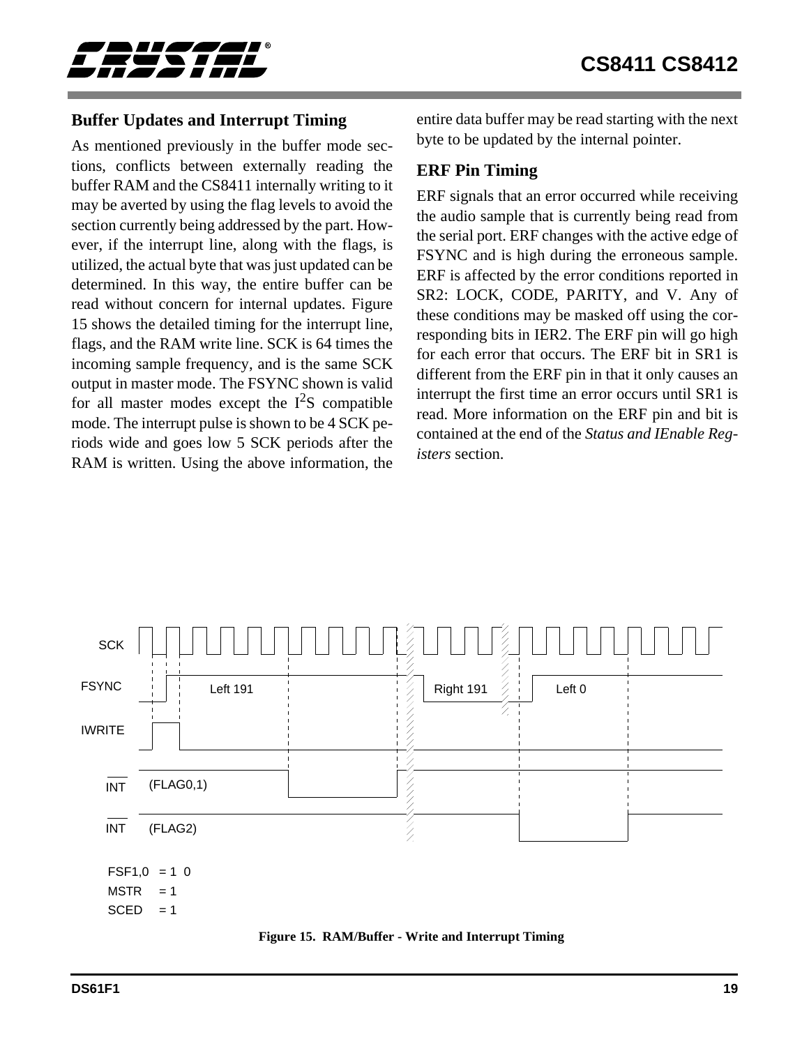<span id="page-18-0"></span>

## **Buffer Updates and Interrupt Timing**

As mentioned previously in the buffer mode sections, conflicts between externally reading the buffer RAM and the CS8411 internally writing to it may be averted by using the flag levels to avoid the section currently being addressed by the part. However, if the interrupt line, along with the flags, is utilized, the actual byte that was just updated can be determined. In this way, the entire buffer can be read without concern for internal updates. Figure 15 shows the detailed timing for the interrupt line, flags, and the RAM write line. SCK is 64 times the incoming sample frequency, and is the same SCK output in master mode. The FSYNC shown is valid for all master modes except the  $I^2S$  compatible mode. The interrupt pulse is shown to be 4 SCK periods wide and goes low 5 SCK periods after the RAM is written. Using the above information, the

entire data buffer may be read starting with the next byte to be updated by the internal pointer.

### **ERF Pin Timing**

ERF signals that an error occurred while receiving the audio sample that is currently being read from the serial port. ERF changes with the active edge of FSYNC and is high during the erroneous sample. ERF is affected by the error conditions reported in SR2: LOCK, CODE, PARITY, and V. Any of these conditions may be masked off using the corresponding bits in IER2. The ERF pin will go high for each error that occurs. The ERF bit in SR1 is different from the ERF pin in that it only causes an interrupt the first time an error occurs until SR1 is read. More information on the ERF pin and bit is contained at the end of the *Status and IEnable Registers* section.



**Figure 15. RAM/Buffer - Write and Interrupt Timing**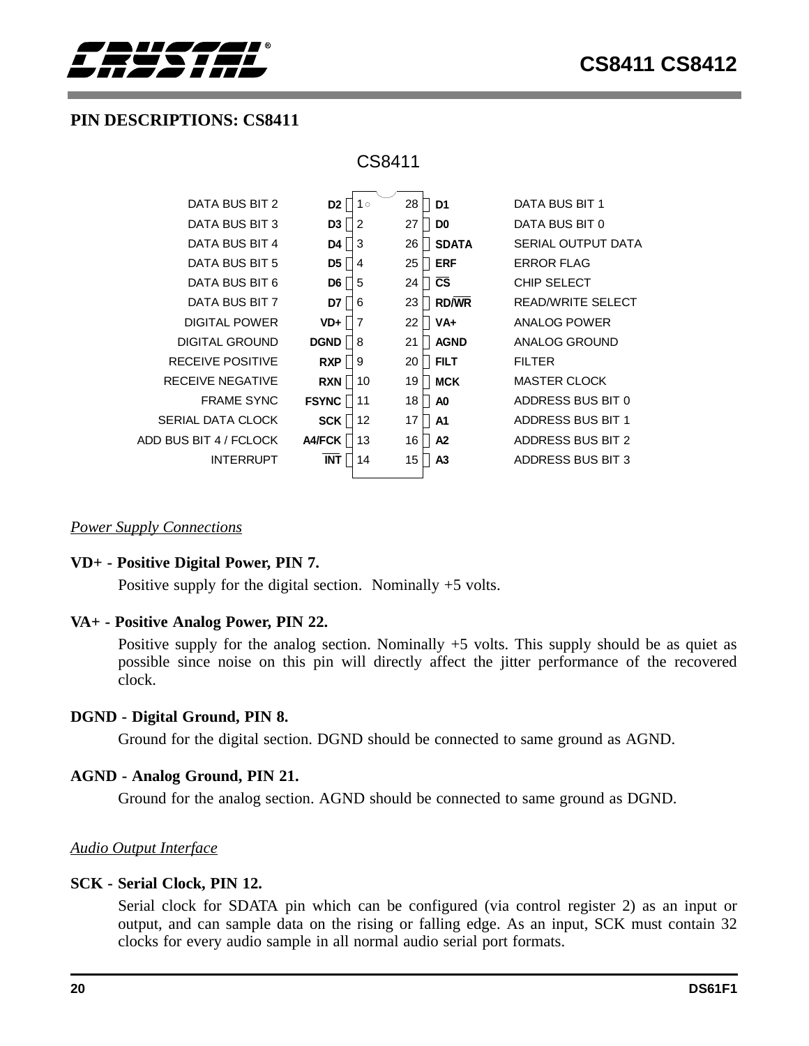<span id="page-19-0"></span>

## **PIN DESCRIPTIONS: CS8411**

| CS8411 |  |
|--------|--|
|--------|--|

| DATA BUS BIT 2          | $1^{\circ}$<br>D <sub>2</sub> | 28<br>D <sub>1</sub> | DATA BUS BIT 1           |
|-------------------------|-------------------------------|----------------------|--------------------------|
| DATA BUS BIT 3          | $\overline{2}$<br>D3          | 27<br>D <sub>0</sub> | DATA BUS BIT 0           |
| DATA BUS BIT 4          | 3<br>D4                       | <b>SDATA</b><br>26   | SERIAL OUTPUT DATA       |
| DATA BUS BIT 5          | D5<br>$\overline{4}$          | <b>ERF</b><br>25     | <b>FRROR FLAG</b>        |
| DATA BUS BIT 6          | D <sub>6</sub><br>5           | <b>CS</b><br>24      | CHIP SELECT              |
| DATA BUS BIT 7          | 6<br>D7                       | <b>RD/WR</b><br>23   | READ/WRITE SELECT        |
| DIGITAL POWER           | $\overline{7}$<br>VD+         | 22<br>VA+            | ANALOG POWER             |
| DIGITAL GROUND          | <b>DGND</b><br>8              | <b>AGND</b><br>21    | ANALOG GROUND            |
| <b>RECEIVE POSITIVE</b> | <b>RXP</b><br>9               | 20<br><b>FILT</b>    | <b>FILTER</b>            |
| RECEIVE NEGATIVE        | <b>RXN</b><br>10              | <b>MCK</b><br>19     | <b>MASTER CLOCK</b>      |
| <b>FRAME SYNC</b>       | <b>FSYNC</b><br>11            | 18<br>A <sub>0</sub> | ADDRESS BUS BIT 0        |
| SERIAL DATA CLOCK       | 12<br><b>SCK</b>              | A <sub>1</sub><br>17 | <b>ADDRESS BUS BIT 1</b> |
| ADD BUS BIT 4 / FCLOCK  | <b>A4/FCK</b><br>13           | A <sub>2</sub><br>16 | <b>ADDRESS BUS BIT 2</b> |
| <b>INTERRUPT</b>        | <b>INT</b><br>14              | 15<br>A <sub>3</sub> | ADDRESS BUS BIT 3        |
|                         |                               |                      |                          |

#### *Power Supply Connections*

#### **VD+ - Positive Digital Power, PIN 7.**

Positive supply for the digital section. Nominally +5 volts.

#### **VA+ - Positive Analog Power, PIN 22.**

Positive supply for the analog section. Nominally +5 volts. This supply should be as quiet as possible since noise on this pin will directly affect the jitter performance of the recovered clock.

#### **DGND - Digital Ground, PIN 8.**

Ground for the digital section. DGND should be connected to same ground as AGND.

#### **AGND - Analog Ground, PIN 21.**

Ground for the analog section. AGND should be connected to same ground as DGND.

#### *Audio Output Interface*

#### **SCK - Serial Clock, PIN 12.**

Serial clock for SDATA pin which can be configured (via control register 2) as an input or output, and can sample data on the rising or falling edge. As an input, SCK must contain 32 clocks for every audio sample in all normal audio serial port formats.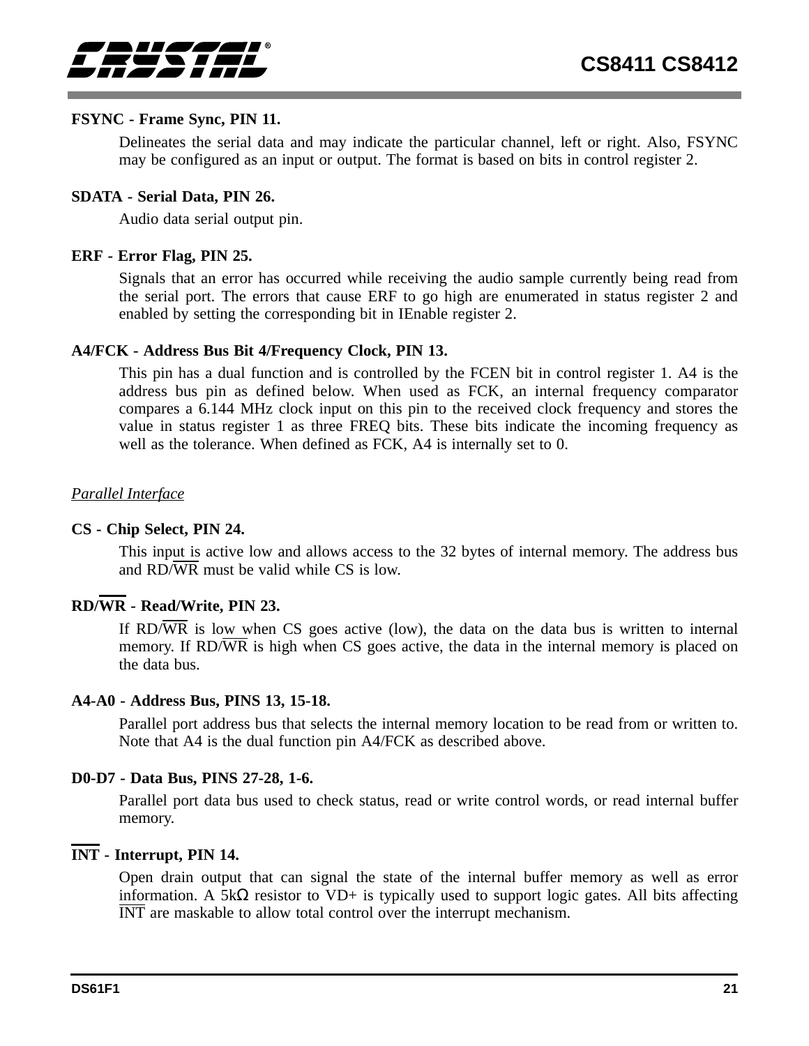

#### **FSYNC - Frame Sync, PIN 11.**

Delineates the serial data and may indicate the particular channel, left or right. Also, FSYNC may be configured as an input or output. The format is based on bits in control register 2.

#### **SDATA - Serial Data, PIN 26.**

Audio data serial output pin.

#### **ERF - Error Flag, PIN 25.**

Signals that an error has occurred while receiving the audio sample currently being read from the serial port. The errors that cause ERF to go high are enumerated in status register 2 and enabled by setting the corresponding bit in IEnable register 2.

#### **A4/FCK - Address Bus Bit 4/Frequency Clock, PIN 13.**

This pin has a dual function and is controlled by the FCEN bit in control register 1. A4 is the address bus pin as defined below. When used as FCK, an internal frequency comparator compares a 6.144 MHz clock input on this pin to the received clock frequency and stores the value in status register 1 as three FREQ bits. These bits indicate the incoming frequency as well as the tolerance. When defined as FCK, A4 is internally set to 0.

### *Parallel Interface*

#### **CS - Chip Select, PIN 24.**

This input is active low and allows access to the 32 bytes of internal memory. The address bus and  $RD/\overline{WR}$  must be valid while CS is low.

## **RD/WR - Read/Write, PIN 23.**

If RD/WR is low when CS goes active (low), the data on the data bus is written to internal memory. If  $RD/\overline{WR}$  is high when CS goes active, the data in the internal memory is placed on the data bus.

#### **A4-A0 - Address Bus, PINS 13, 15-18.**

Parallel port address bus that selects the internal memory location to be read from or written to. Note that A4 is the dual function pin A4/FCK as described above.

#### **D0-D7 - Data Bus, PINS 27-28, 1-6.**

Parallel port data bus used to check status, read or write control words, or read internal buffer memory.

### **INT - Interrupt, PIN 14.**

Open drain output that can signal the state of the internal buffer memory as well as error information. A  $5k\Omega$  resistor to VD+ is typically used to support logic gates. All bits affecting INT are maskable to allow total control over the interrupt mechanism.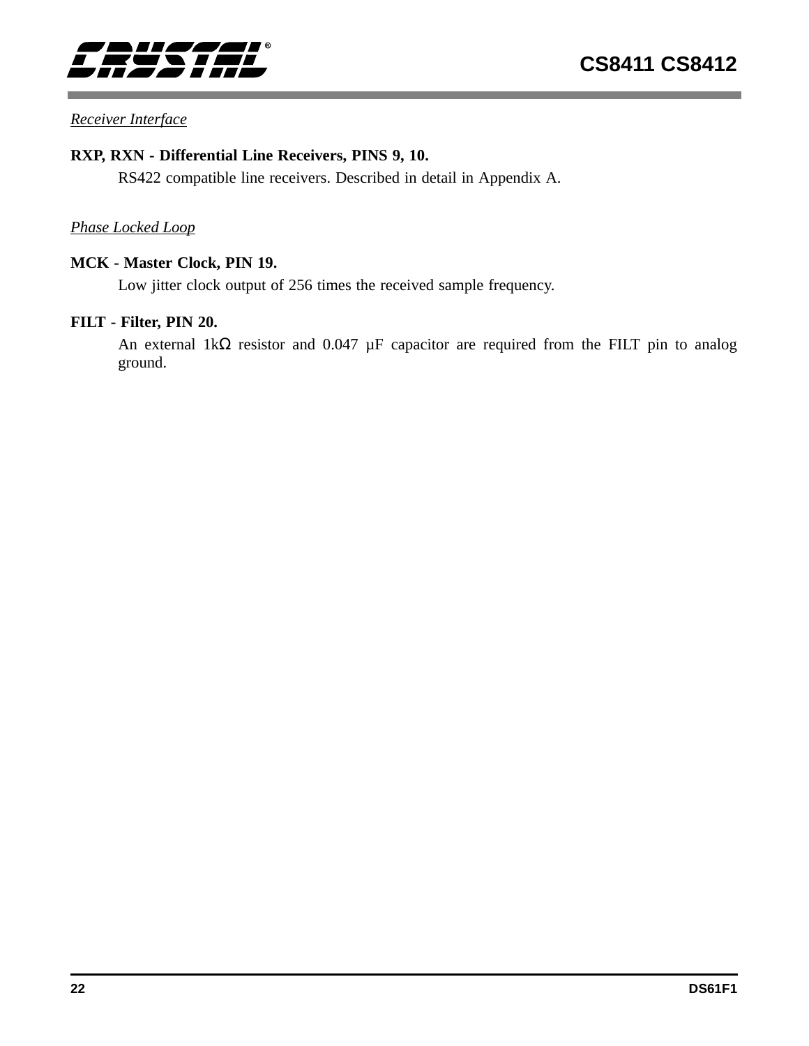

### *Receiver Interface*

#### **RXP, RXN - Differential Line Receivers, PINS 9, 10.**

RS422 compatible line receivers. Described in detail in Appendix A.

### *Phase Locked Loop*

## **MCK - Master Clock, PIN 19.**

Low jitter clock output of 256 times the received sample frequency.

## **FILT - Filter, PIN 20.**

An external 1kΩ resistor and 0.047 µF capacitor are required from the FILT pin to analog ground.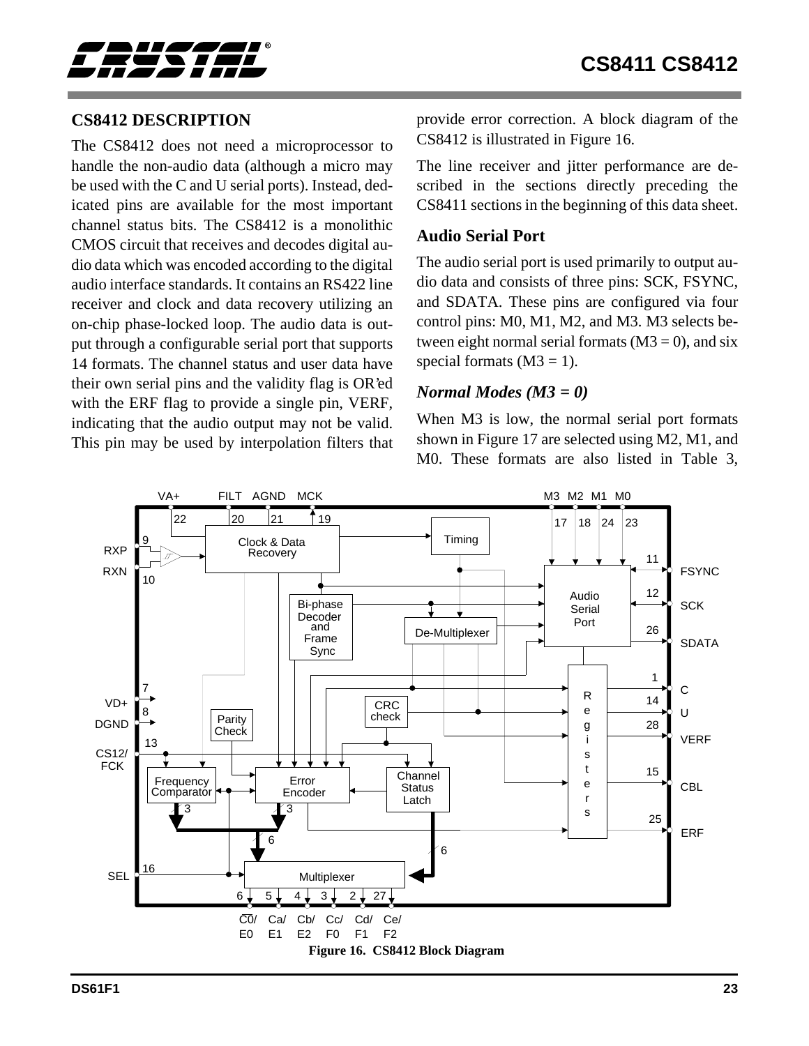<span id="page-22-0"></span>

## **CS8412 DESCRIPTION**

The CS8412 does not need a microprocessor to handle the non-audio data (although a micro may be used with the C and U serial ports). Instead, dedicated pins are available for the most important channel status bits. The CS8412 is a monolithic CMOS circuit that receives and decodes digital audio data which was encoded according to the digital audio interface standards. It contains an RS422 line receiver and clock and data recovery utilizing an on-chip phase-locked loop. The audio data is output through a configurable serial port that supports 14 formats. The channel status and user data have their own serial pins and the validity flag is OR'ed with the ERF flag to provide a single pin, VERF, indicating that the audio output may not be valid. This pin may be used by interpolation filters that

provide error correction. A block diagram of the CS8412 is illustrated in Figure 16.

The line receiver and jitter performance are described in the sections directly preceding the CS8411 sections in the beginning of this data sheet.

#### **Audio Serial Port**

The audio serial port is used primarily to output audio data and consists of three pins: SCK, FSYNC, and SDATA. These pins are configured via four control pins: M0, M1, M2, and M3. M3 selects between eight normal serial formats  $(M3 = 0)$ , and six special formats  $(M3 = 1)$ .

#### *Normal Modes (M3 = 0)*

When M3 is low, the normal serial port formats shown in Figure [17](#page-24-0) are selected using M2, M1, and M0. These formats are also listed in Table 3,

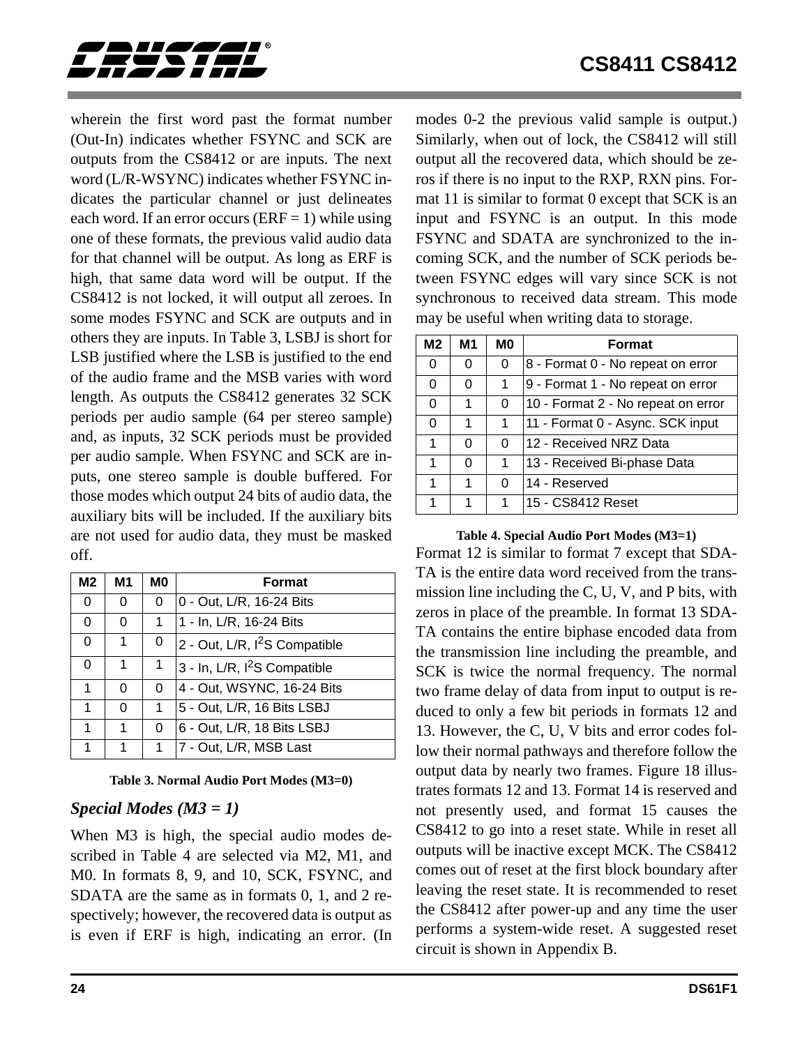<span id="page-23-0"></span>

wherein the first word past the format number (Out-In) indicates whether FSYNC and SCK are outputs from the CS8412 or are inputs. The next word (L/R-WSYNC) indicates whether FSYNC indicates the particular channel or just delineates each word. If an error occurs ( $ERF = 1$ ) while using one of these formats, the previous valid audio data for that channel will be output. As long as ERF is high, that same data word will be output. If the CS8412 is not locked, it will output all zeroes. In some modes FSYNC and SCK are outputs and in others they are inputs. In Table 3, LSBJ is short for LSB justified where the LSB is justified to the end of the audio frame and the MSB varies with word length. As outputs the CS8412 generates 32 SCK periods per audio sample (64 per stereo sample) and, as inputs, 32 SCK periods must be provided per audio sample. When FSYNC and SCK are inputs, one stereo sample is double buffered. For those modes which output 24 bits of audio data, the auxiliary bits will be included. If the auxiliary bits are not used for audio data, they must be masked off.

| M2 | M1 | M0       | <b>Format</b>                             |  |  |
|----|----|----------|-------------------------------------------|--|--|
| 0  | 0  | 0        | 0 - Out, L/R, 16-24 Bits                  |  |  |
| 0  | 0  | 1        | 1 - In, L/R, 16-24 Bits                   |  |  |
| 0  | 1  | 0        | 2 - Out, L/R, I <sup>2</sup> S Compatible |  |  |
| 0  | 1  | 1        | 3 - In, L/R, I <sup>2</sup> S Compatible  |  |  |
| 1  | 0  | 0        | 4 - Out, WSYNC, 16-24 Bits                |  |  |
| 1  | 0  | 1        | 5 - Out, L/R, 16 Bits LSBJ                |  |  |
| 1  | 1  | $\Omega$ | 6 - Out, L/R, 18 Bits LSBJ                |  |  |
| 1  | 1  | 1        | 7 - Out, L/R, MSB Last                    |  |  |

#### **Table 3. Normal Audio Port Modes (M3=0)**

### *Special Modes (M3 = 1)*

When M3 is high, the special audio modes described in Table 4 are selected via M2, M1, and M0. In formats 8, 9, and 10, SCK, FSYNC, and SDATA are the same as in formats 0, 1, and 2 respectively; however, the recovered data is output as is even if ERF is high, indicating an error. (In modes 0-2 the previous valid sample is output.) Similarly, when out of lock, the CS8412 will still output all the recovered data, which should be zeros if there is no input to the RXP, RXN pins. Format 11 is similar to format 0 except that SCK is an input and FSYNC is an output. In this mode FSYNC and SDATA are synchronized to the incoming SCK, and the number of SCK periods between FSYNC edges will vary since SCK is not synchronous to received data stream. This mode may be useful when writing data to storage.

| M <sub>2</sub> | M1 | M0 | <b>Format</b>                      |
|----------------|----|----|------------------------------------|
| O              | 0  | 0  | 8 - Format 0 - No repeat on error  |
| 0              | 0  | 1  | 9 - Format 1 - No repeat on error  |
| O              |    | 0  | 10 - Format 2 - No repeat on error |
| O              | 1  | 1  | 11 - Format 0 - Async. SCK input   |
| 1              | U  | 0  | 12 - Received NRZ Data             |
| 1              | U  | 1  | 13 - Received Bi-phase Data        |
|                |    | U  | 14 - Reserved                      |
|                |    | 1  | 15 - CS8412 Reset                  |

**Table 4. Special Audio Port Modes (M3=1)**

Format 12 is similar to format 7 except that SDA-TA is the entire data word received from the transmission line including the C, U, V, and P bits, with zeros in place of the preamble. In format 13 SDA-TA contains the entire biphase encoded data from the transmission line including the preamble, and SCK is twice the normal frequency. The normal two frame delay of data from input to output is reduced to only a few bit periods in formats 12 and 13. However, the C, U, V bits and error codes follow their normal pathways and therefore follow the output data by nearly two frames. Figure [18](#page-25-0) illustrates formats 12 and 13. Format 14 is reserved and not presently used, and format 15 causes the CS8412 to go into a reset state. While in reset all outputs will be inactive except MCK. The CS8412 comes out of reset at the first block boundary after leaving the reset state. It is recommended to reset the CS8412 after power-up and any time the user performs a system-wide reset. A suggested reset circuit is shown in Appendix B.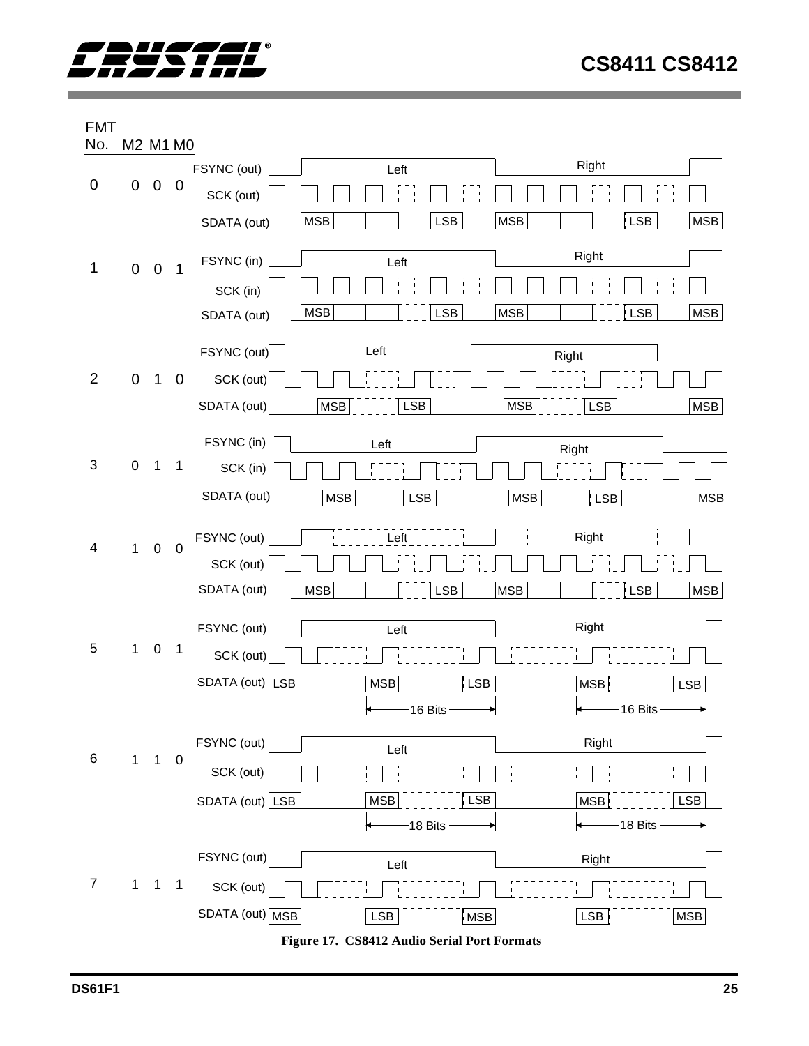<span id="page-24-0"></span>

FMT No. M2 M1 M0



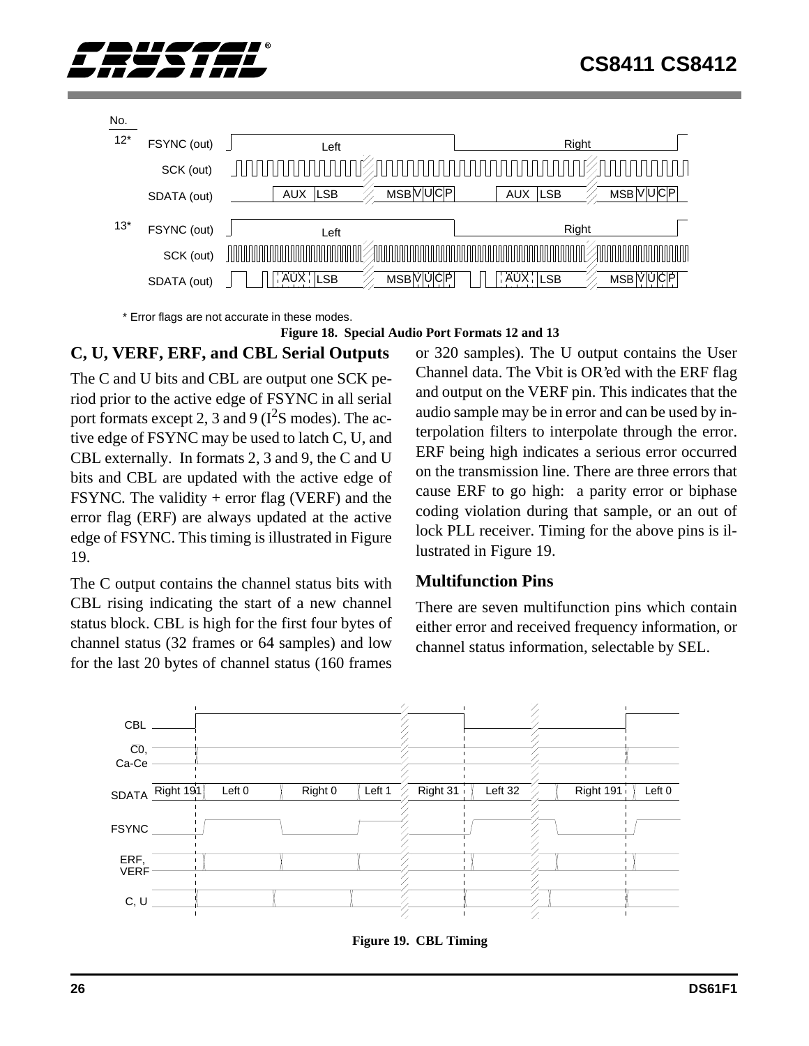<span id="page-25-0"></span>



\* Error flags are not accurate in these modes.

#### **Figure 18. Special Audio Port Formats 12 and 13**

## **C, U, VERF, ERF, and CBL Serial Outputs**

The C and U bits and CBL are output one SCK period prior to the active edge of FSYNC in all serial port formats except 2, 3 and 9 ( $I^2S$  modes). The active edge of FSYNC may be used to latch C, U, and CBL externally. In formats 2, 3 and 9, the C and U bits and CBL are updated with the active edge of FSYNC. The validity  $+$  error flag (VERF) and the error flag (ERF) are always updated at the active edge of FSYNC. This timing is illustrated in Figure 19.

The C output contains the channel status bits with CBL rising indicating the start of a new channel status block. CBL is high for the first four bytes of channel status (32 frames or 64 samples) and low for the last 20 bytes of channel status (160 frames or 320 samples). The U output contains the User Channel data. The Vbit is OR'ed with the ERF flag and output on the VERF pin. This indicates that the audio sample may be in error and can be used by interpolation filters to interpolate through the error. ERF being high indicates a serious error occurred on the transmission line. There are three errors that cause ERF to go high: a parity error or biphase coding violation during that sample, or an out of lock PLL receiver. Timing for the above pins is illustrated in Figure 19.

### **Multifunction Pins**

There are seven multifunction pins which contain either error and received frequency information, or channel status information, selectable by SEL.



**Figure 19. CBL Timing**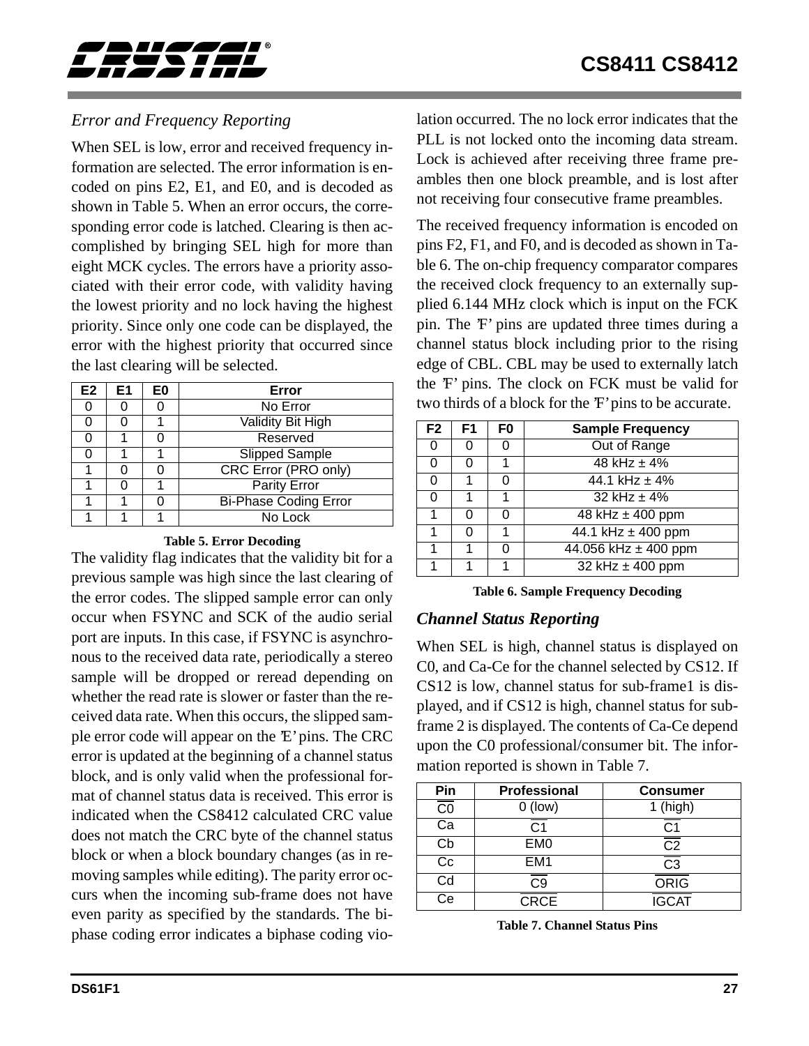<span id="page-26-0"></span>

## *Error and Frequency Reporting*

When SEL is low, error and received frequency information are selected. The error information is encoded on pins E2, E1, and E0, and is decoded as shown in Table 5. When an error occurs, the corresponding error code is latched. Clearing is then accomplished by bringing SEL high for more than eight MCK cycles. The errors have a priority associated with their error code, with validity having the lowest priority and no lock having the highest priority. Since only one code can be displayed, the error with the highest priority that occurred since the last clearing will be selected.

| E <sub>2</sub> | E1 | E0 | Error                        |  |  |
|----------------|----|----|------------------------------|--|--|
|                |    |    | No Error                     |  |  |
|                |    |    | Validity Bit High            |  |  |
|                |    |    | Reserved                     |  |  |
|                |    |    | <b>Slipped Sample</b>        |  |  |
|                |    |    | <b>CRC Error (PRO only)</b>  |  |  |
|                |    |    | <b>Parity Error</b>          |  |  |
|                |    |    | <b>Bi-Phase Coding Error</b> |  |  |
|                |    |    | No Lock                      |  |  |

#### **Table 5. Error Decoding**

The validity flag indicates that the validity bit for a previous sample was high since the last clearing of the error codes. The slipped sample error can only occur when FSYNC and SCK of the audio serial port are inputs. In this case, if FSYNC is asynchronous to the received data rate, periodically a stereo sample will be dropped or reread depending on whether the read rate is slower or faster than the received data rate. When this occurs, the slipped sample error code will appear on the 'E' pins. The CRC error is updated at the beginning of a channel status block, and is only valid when the professional format of channel status data is received. This error is indicated when the CS8412 calculated CRC value does not match the CRC byte of the channel status block or when a block boundary changes (as in removing samples while editing). The parity error occurs when the incoming sub-frame does not have even parity as specified by the standards. The biphase coding error indicates a biphase coding violation occurred. The no lock error indicates that the PLL is not locked onto the incoming data stream. Lock is achieved after receiving three frame preambles then one block preamble, and is lost after not receiving four consecutive frame preambles.

The received frequency information is encoded on pins F2, F1, and F0, and is decoded as shown in Table 6. The on-chip frequency comparator compares the received clock frequency to an externally supplied 6.144 MHz clock which is input on the FCK pin. The 'F' pins are updated three times during a channel status block including prior to the rising edge of CBL. CBL may be used to externally latch the 'F' pins. The clock on FCK must be valid for two thirds of a block for the 'F' pins to be accurate.

| F <sub>2</sub> | F1 | F0 | <b>Sample Frequency</b>  |  |
|----------------|----|----|--------------------------|--|
| O              |    |    | Out of Range             |  |
| 0              |    |    | $48$ kHz $\pm$ 4%        |  |
| 0              |    |    | 44.1 kHz $\pm$ 4%        |  |
| 0              |    |    | 32 kHz $\pm$ 4%          |  |
|                | 0  |    | 48 kHz $\pm$ 400 ppm     |  |
|                |    |    | 44.1 kHz $\pm$ 400 ppm   |  |
|                |    |    | 44.056 kHz $\pm$ 400 ppm |  |
|                |    |    | 32 kHz $\pm$ 400 ppm     |  |

**Table 6. Sample Frequency Decoding**

### *Channel Status Reporting*

When SEL is high, channel status is displayed on C0, and Ca-Ce for the channel selected by CS12. If CS12 is low, channel status for sub-frame1 is displayed, and if CS12 is high, channel status for subframe 2 is displayed. The contents of Ca-Ce depend upon the C0 professional/consumer bit. The information reported is shown in Table 7.

| Pin                    | Professional    | <b>Consumer</b>        |  |
|------------------------|-----------------|------------------------|--|
| $\overline{\text{CO}}$ | $0$ (low)       | $1$ (high)             |  |
| Ca                     | C <sub>1</sub>  | C1                     |  |
| Сb                     | EM <sub>0</sub> | $\overline{\text{C2}}$ |  |
| Cc                     | EM <sub>1</sub> | CЗ                     |  |
| Cd                     | C9              | <b>ORIG</b>            |  |
| Cе                     | <b>CRCE</b>     | <b>IGCAT</b>           |  |

**Table 7. Channel Status Pins**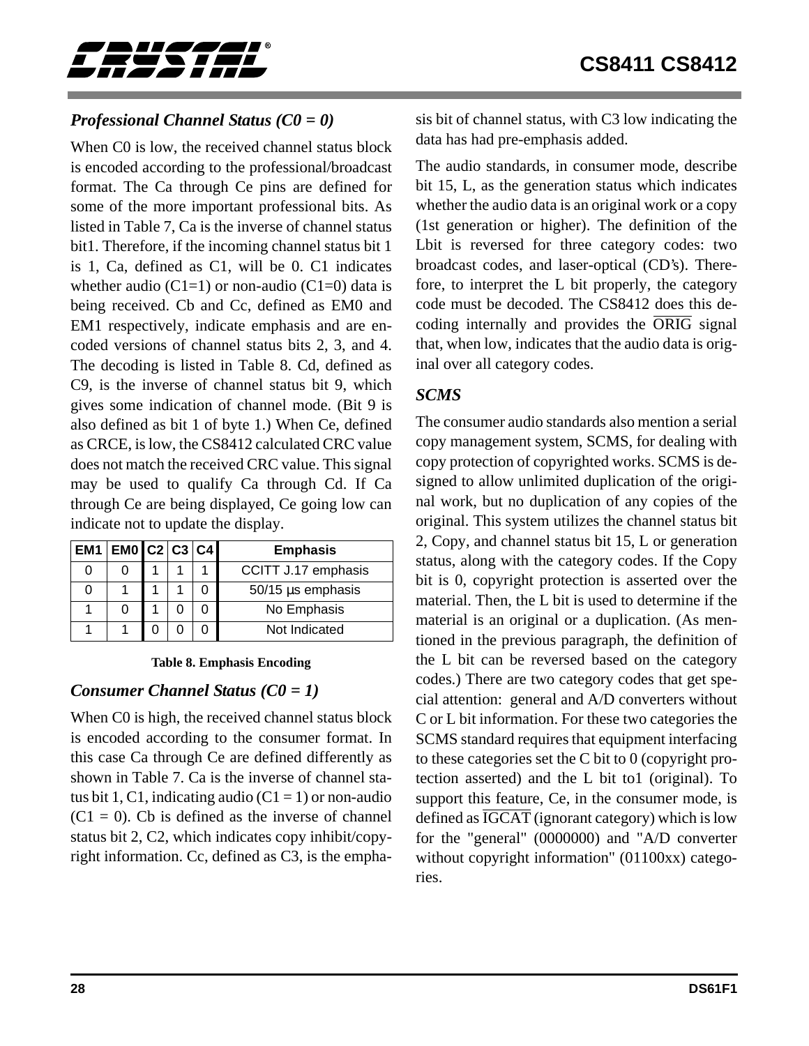<span id="page-27-0"></span>

## *Professional Channel Status (C0 = 0)*

When C0 is low, the received channel status block is encoded according to the professional/broadcast format. The Ca through Ce pins are defined for some of the more important professional bits. As listed in Table 7, Ca is the inverse of channel status bit1. Therefore, if the incoming channel status bit 1 is 1, Ca, defined as C1, will be 0. C1 indicates whether audio (C1=1) or non-audio (C1=0) data is being received. Cb and Cc, defined as EM0 and EM1 respectively, indicate emphasis and are encoded versions of channel status bits 2, 3, and 4. The decoding is listed in Table 8. Cd, defined as C9, is the inverse of channel status bit 9, which gives some indication of channel mode. (Bit 9 is also defined as bit 1 of byte 1.) When Ce, defined as CRCE, is low, the CS8412 calculated CRC value does not match the received CRC value. This signal may be used to qualify Ca through Cd. If Ca through Ce are being displayed, Ce going low can indicate not to update the display.

| $\boxed{EM1}$ $\boxed{EM0}$ $\boxed{C2}$ $C3$ $\boxed{C4}$ |  |  | <b>Emphasis</b>     |
|------------------------------------------------------------|--|--|---------------------|
|                                                            |  |  | CCITT J.17 emphasis |
|                                                            |  |  | 50/15 µs emphasis   |
|                                                            |  |  | No Emphasis         |
|                                                            |  |  | Not Indicated       |

**Table 8. Emphasis Encoding**

### *Consumer Channel Status (C0 = 1)*

When C0 is high, the received channel status block is encoded according to the consumer format. In this case Ca through Ce are defined differently as shown in Table 7. Ca is the inverse of channel status bit 1, C1, indicating audio  $(C1 = 1)$  or non-audio  $(C1 = 0)$ . Cb is defined as the inverse of channel status bit 2, C2, which indicates copy inhibit/copyright information. Cc, defined as C3, is the emphasis bit of channel status, with C3 low indicating the data has had pre-emphasis added.

The audio standards, in consumer mode, describe bit 15, L, as the generation status which indicates whether the audio data is an original work or a copy (1st generation or higher). The definition of the Lbit is reversed for three category codes: two broadcast codes, and laser-optical (CD's). Therefore, to interpret the L bit properly, the category code must be decoded. The CS8412 does this decoding internally and provides the  $\overline{ORIG}$  signal that, when low, indicates that the audio data is original over all category codes.

### *SCMS*

The consumer audio standards also mention a serial copy management system, SCMS, for dealing with copy protection of copyrighted works. SCMS is designed to allow unlimited duplication of the original work, but no duplication of any copies of the original. This system utilizes the channel status bit 2, Copy, and channel status bit 15, L or generation status, along with the category codes. If the Copy bit is 0, copyright protection is asserted over the material. Then, the L bit is used to determine if the material is an original or a duplication. (As mentioned in the previous paragraph, the definition of the L bit can be reversed based on the category codes.) There are two category codes that get special attention: general and A/D converters without C or L bit information. For these two categories the SCMS standard requires that equipment interfacing to these categories set the C bit to 0 (copyright protection asserted) and the L bit to1 (original). To support this feature, Ce, in the consumer mode, is defined as  $\overline{IGCAT}$  (ignorant category) which is low for the "general" (0000000) and "A/D converter without copyright information" (01100xx) categories.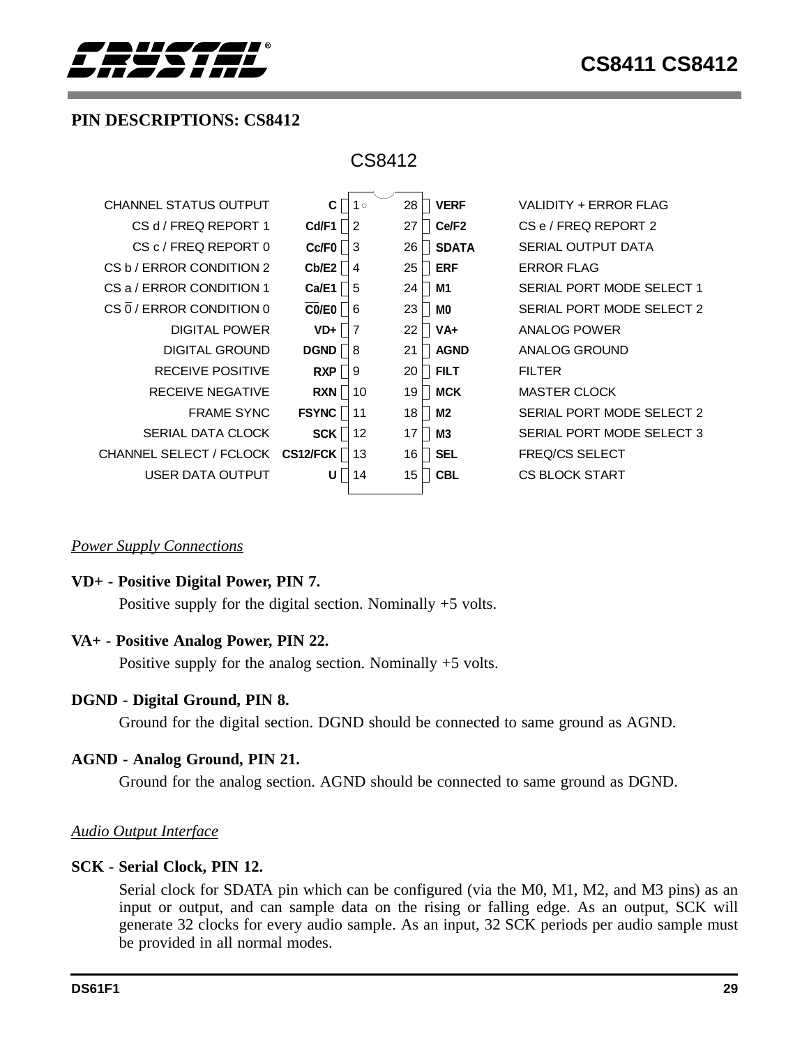<span id="page-28-0"></span>

## **PIN DESCRIPTIONS: CS8412**

| CS8412                       |                          |                    |                           |  |  |  |
|------------------------------|--------------------------|--------------------|---------------------------|--|--|--|
| <b>CHANNEL STATUS OUTPUT</b> | $1^{\circ}$<br>C         | 28<br><b>VERF</b>  | VALIDITY + ERROR FLAG     |  |  |  |
| CS d / FREQ REPORT 1         | Cd/F1<br>$\overline{2}$  | Ce/F2<br>27        | CS e / FREQ REPORT 2      |  |  |  |
| CS c / FREQ REPORT 0         | Cc/FO<br>-3              | 26<br><b>SDATA</b> | <b>SERIAL OUTPUT DATA</b> |  |  |  |
| CS b / ERROR CONDITION 2     | Cb/E2<br>$\overline{4}$  | <b>ERF</b><br>25   | <b>ERROR FLAG</b>         |  |  |  |
| CS a / ERROR CONDITION 1     | Ca/E1<br>-5              | M1<br>24           | SERIAL PORT MODE SELECT 1 |  |  |  |
| CS 0 / ERROR CONDITION 0     | CO/EO<br>6               | 23<br>M0           | SERIAL PORT MODE SELECT 2 |  |  |  |
| <b>DIGITAL POWER</b>         | $\overline{7}$<br>$VD +$ | $VA+$<br>22        | ANALOG POWER              |  |  |  |
| <b>DIGITAL GROUND</b>        | <b>DGND</b><br>8         | <b>AGND</b><br>21  | ANALOG GROUND             |  |  |  |
| <b>RECEIVE POSITIVE</b>      | <b>RXP</b><br>9          | <b>FILT</b><br>20  | <b>FILTER</b>             |  |  |  |
| <b>RECEIVE NEGATIVE</b>      | <b>RXN</b><br>10         | <b>MCK</b><br>19   | <b>MASTER CLOCK</b>       |  |  |  |
| <b>FRAME SYNC</b>            | <b>FSYNC</b><br>11       | 18<br>M2           | SERIAL PORT MODE SELECT 2 |  |  |  |
| SERIAL DATA CLOCK            | <b>SCK</b><br>12         | <b>M3</b><br>17    | SERIAL PORT MODE SELECT 3 |  |  |  |
| CHANNEL SELECT / FCLOCK      | CS12/FCK<br>13           | <b>SEL</b><br>16   | <b>FREQ/CS SELECT</b>     |  |  |  |
| USER DATA OUTPUT             | U<br>14                  | <b>CBL</b><br>15   | <b>CS BLOCK START</b>     |  |  |  |
|                              |                          |                    |                           |  |  |  |

#### *Power Supply Connections*

#### **VD+ - Positive Digital Power, PIN 7.**

Positive supply for the digital section. Nominally +5 volts.

#### **VA+ - Positive Analog Power, PIN 22.**

Positive supply for the analog section. Nominally +5 volts.

#### **DGND - Digital Ground, PIN 8.**

Ground for the digital section. DGND should be connected to same ground as AGND.

#### **AGND - Analog Ground, PIN 21.**

Ground for the analog section. AGND should be connected to same ground as DGND.

#### *Audio Output Interface*

#### **SCK - Serial Clock, PIN 12.**

Serial clock for SDATA pin which can be configured (via the M0, M1, M2, and M3 pins) as an input or output, and can sample data on the rising or falling edge. As an output, SCK will generate 32 clocks for every audio sample. As an input, 32 SCK periods per audio sample must be provided in all normal modes.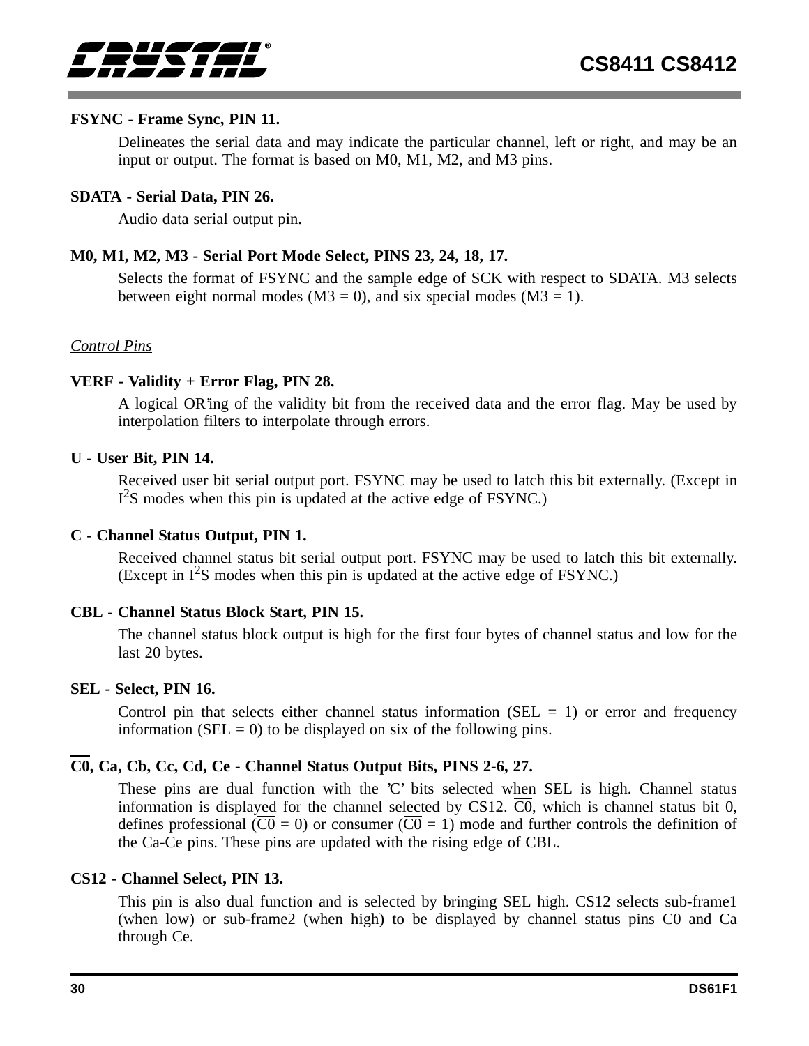

#### **FSYNC - Frame Sync, PIN 11.**

Delineates the serial data and may indicate the particular channel, left or right, and may be an input or output. The format is based on M0, M1, M2, and M3 pins.

#### **SDATA - Serial Data, PIN 26.**

Audio data serial output pin.

## **M0, M1, M2, M3 - Serial Port Mode Select, PINS 23, 24, 18, 17.**

Selects the format of FSYNC and the sample edge of SCK with respect to SDATA. M3 selects between eight normal modes ( $M3 = 0$ ), and six special modes ( $M3 = 1$ ).

#### *Control Pins*

#### **VERF - Validity + Error Flag, PIN 28.**

A logical OR'ing of the validity bit from the received data and the error flag. May be used by interpolation filters to interpolate through errors.

#### **U - User Bit, PIN 14.**

Received user bit serial output port. FSYNC may be used to latch this bit externally. (Except in I<sup>2</sup>S modes when this pin is updated at the active edge of FSYNC.)

#### **C - Channel Status Output, PIN 1.**

Received channel status bit serial output port. FSYNC may be used to latch this bit externally. (Except in  $I^2$ S modes when this pin is updated at the active edge of FSYNC.)

#### **CBL - Channel Status Block Start, PIN 15.**

The channel status block output is high for the first four bytes of channel status and low for the last 20 bytes.

#### **SEL - Select, PIN 16.**

Control pin that selects either channel status information ( $SEL = 1$ ) or error and frequency information (SEL = 0) to be displayed on six of the following pins.

## **C0, Ca, Cb, Cc, Cd, Ce - Channel Status Output Bits, PINS 2-6, 27.**

These pins are dual function with the 'C' bits selected when SEL is high. Channel status information is displayed for the channel selected by CS12.  $\overline{CO}$ , which is channel status bit 0, defines professional  $(\overline{CO} = 0)$  or consumer  $(\overline{CO} = 1)$  mode and further controls the definition of the Ca-Ce pins. These pins are updated with the rising edge of CBL.

#### **CS12 - Channel Select, PIN 13.**

This pin is also dual function and is selected by bringing SEL high. CS12 selects sub-frame1 (when low) or sub-frame2 (when high) to be displayed by channel status pins  $\overline{C0}$  and Ca through Ce.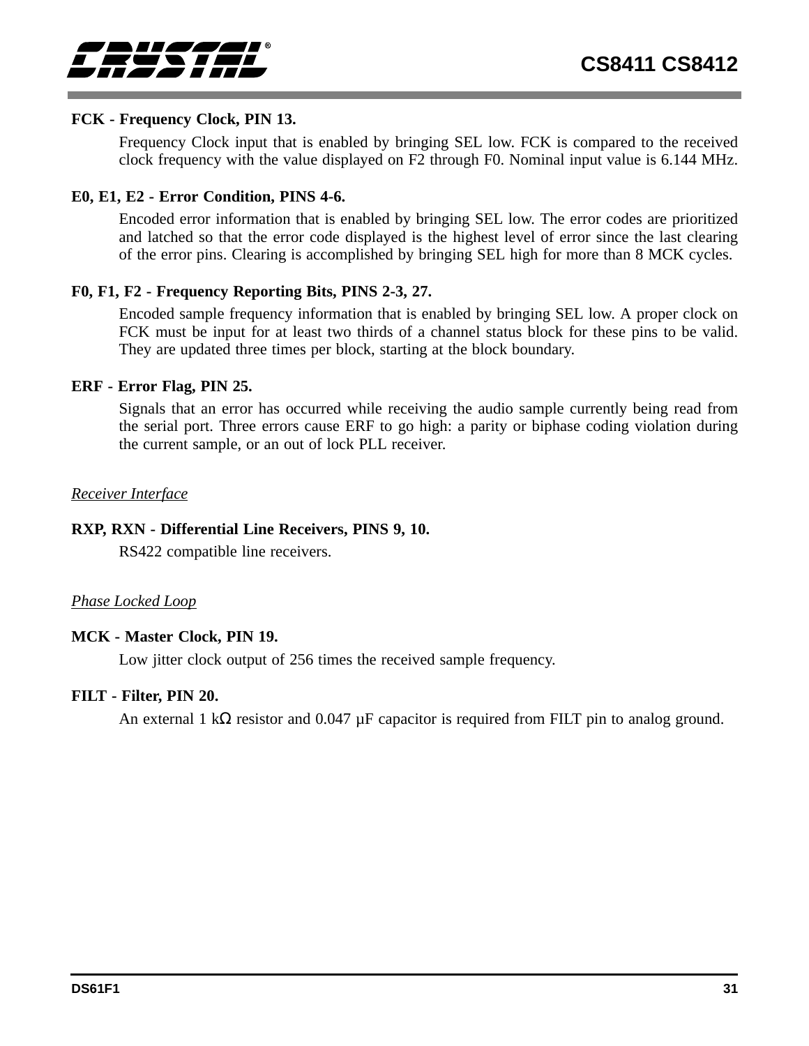#### **FCK - Frequency Clock, PIN 13.**

Frequency Clock input that is enabled by bringing SEL low. FCK is compared to the received clock frequency with the value displayed on F2 through F0. Nominal input value is 6.144 MHz.

#### **E0, E1, E2 - Error Condition, PINS 4-6.**

Encoded error information that is enabled by bringing SEL low. The error codes are prioritized and latched so that the error code displayed is the highest level of error since the last clearing of the error pins. Clearing is accomplished by bringing SEL high for more than 8 MCK cycles.

#### **F0, F1, F2 - Frequency Reporting Bits, PINS 2-3, 27.**

Encoded sample frequency information that is enabled by bringing SEL low. A proper clock on FCK must be input for at least two thirds of a channel status block for these pins to be valid. They are updated three times per block, starting at the block boundary.

#### **ERF - Error Flag, PIN 25.**

Signals that an error has occurred while receiving the audio sample currently being read from the serial port. Three errors cause ERF to go high: a parity or biphase coding violation during the current sample, or an out of lock PLL receiver.

#### *Receiver Interface*

### **RXP, RXN - Differential Line Receivers, PINS 9, 10.**

RS422 compatible line receivers.

#### *Phase Locked Loop*

#### **MCK - Master Clock, PIN 19.**

Low jitter clock output of 256 times the received sample frequency.

#### **FILT - Filter, PIN 20.**

An external 1 kΩ resistor and 0.047  $\mu$ F capacitor is required from FILT pin to analog ground.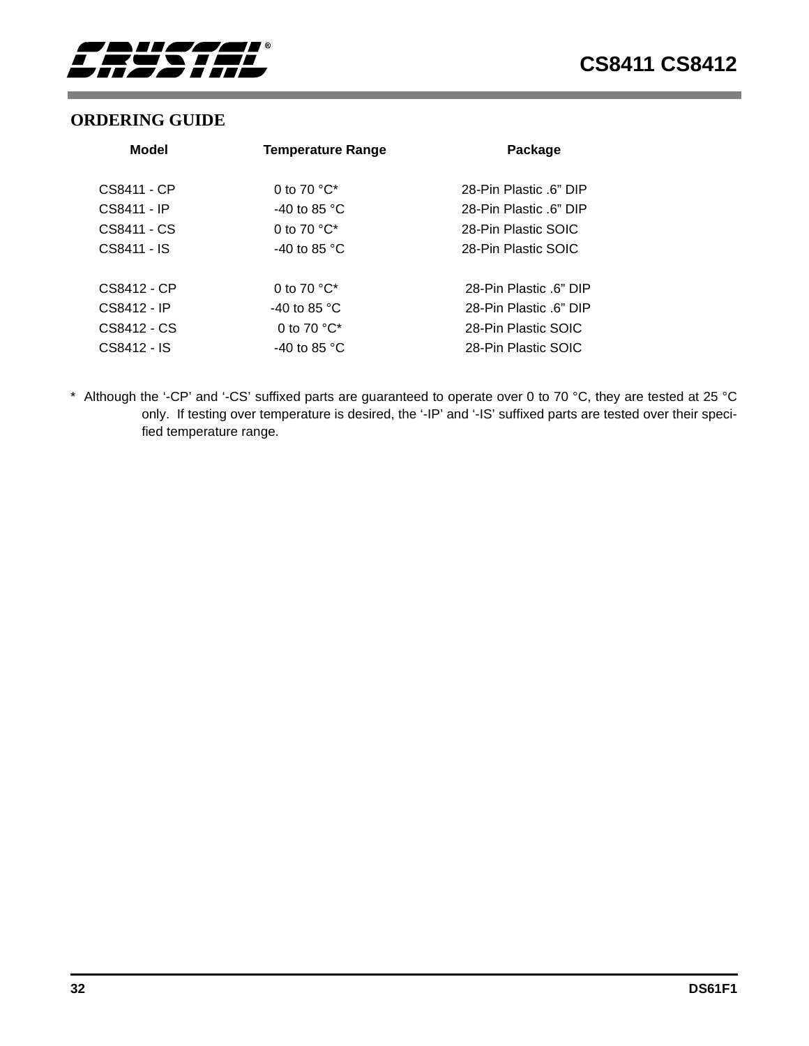<span id="page-31-0"></span>

## **ORDERING GUIDE**

| Model       | <b>Temperature Range</b>          | Package                |
|-------------|-----------------------------------|------------------------|
| CS8411 - CP | 0 to 70 $^{\circ}$ C <sup>*</sup> | 28-Pin Plastic .6" DIP |
| CS8411 - IP | -40 to 85 $^{\circ}$ C            | 28-Pin Plastic .6" DIP |
| CS8411 - CS | 0 to 70 $^{\circ}$ C*             | 28-Pin Plastic SOIC    |
| CS8411 - IS | -40 to 85 $^{\circ}$ C            | 28-Pin Plastic SOIC    |
| CS8412 - CP | 0 to 70 $^{\circ}$ C <sup>*</sup> | 28-Pin Plastic .6" DIP |
| CS8412 - IP | -40 to 85 $^{\circ}$ C            | 28-Pin Plastic 6" DIP  |
| CS8412 - CS | 0 to 70 $^{\circ}$ C*             | 28-Pin Plastic SOIC    |
| CS8412 - IS | -40 to 85 $^{\circ}$ C            | 28-Pin Plastic SOIC    |

\* Although the '-CP' and '-CS' suffixed parts are guaranteed to operate over 0 to 70 °C, they are tested at 25 °C only. If testing over temperature is desired, the '-IP' and '-IS' suffixed parts are tested over their specified temperature range.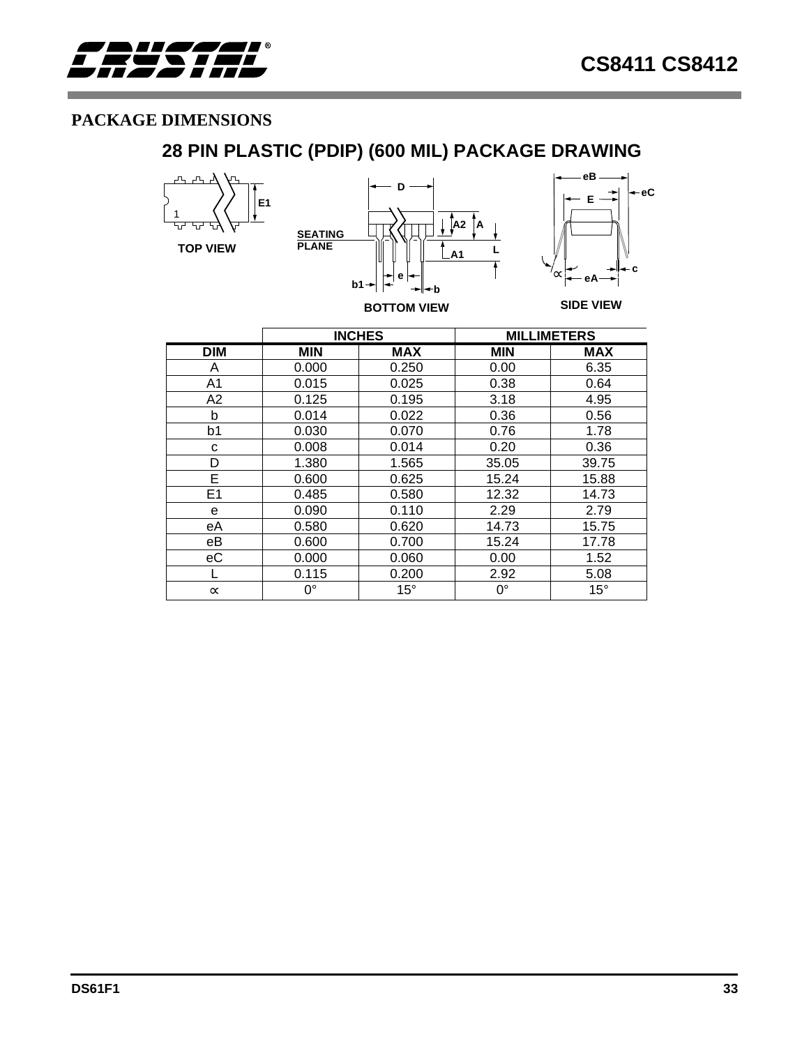<span id="page-32-0"></span>

## **PACKAGE DIMENSIONS**

## **28 PIN PLASTIC (PDIP) (600 MIL) PACKAGE DRAWING**



|                |             | <b>INCHES</b> |            | <b>MILLIMETERS</b> |
|----------------|-------------|---------------|------------|--------------------|
| <b>DIM</b>     | <b>MIN</b>  | MAX           | <b>MIN</b> | <b>MAX</b>         |
| A              | 0.000       | 0.250         | 0.00       | 6.35               |
| A <sub>1</sub> | 0.015       | 0.025         | 0.38       | 0.64               |
| A2             | 0.125       | 0.195         | 3.18       | 4.95               |
| b              | 0.014       | 0.022         | 0.36       | 0.56               |
| b1             | 0.030       | 0.070         | 0.76       | 1.78               |
| C              | 0.008       | 0.014         | 0.20       | 0.36               |
| D              | 1.380       | 1.565         | 35.05      | 39.75              |
| E              | 0.600       | 0.625         | 15.24      | 15.88              |
| E1             | 0.485       | 0.580         | 12.32      | 14.73              |
| e              | 0.090       | 0.110         | 2.29       | 2.79               |
| eA             | 0.580       | 0.620         | 14.73      | 15.75              |
| eB             | 0.600       | 0.700         | 15.24      | 17.78              |
| еC             | 0.000       | 0.060         | 0.00       | 1.52               |
|                | 0.115       | 0.200         | 2.92       | 5.08               |
| $\infty$       | $0^{\circ}$ | $15^{\circ}$  | 0°         | $15^{\circ}$       |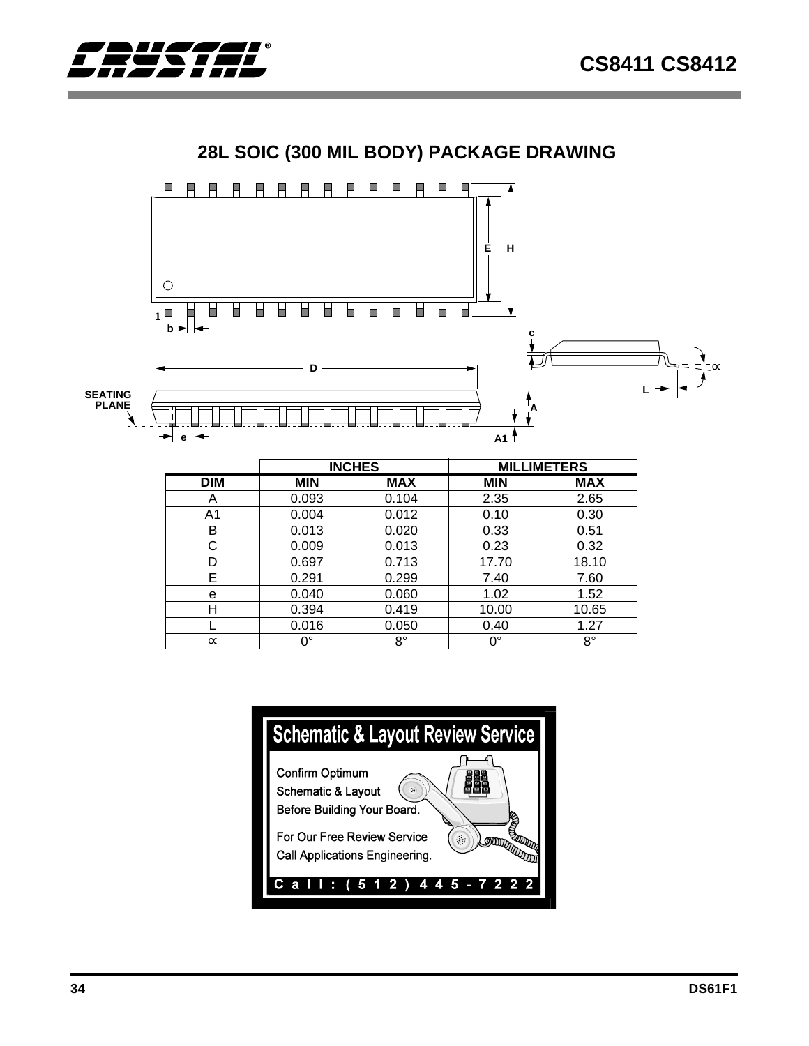∝





## **28L SOIC (300 MIL BODY) PACKAGE DRAWING**



E 0.291 0.299 7.40 7.60 e 0.040 0.060 1.02 1.52 H 0.394 0.419 10.00 10.65 L 0.016 0.050 0.40 1.27  $\propto$  0° 8° 0° 8°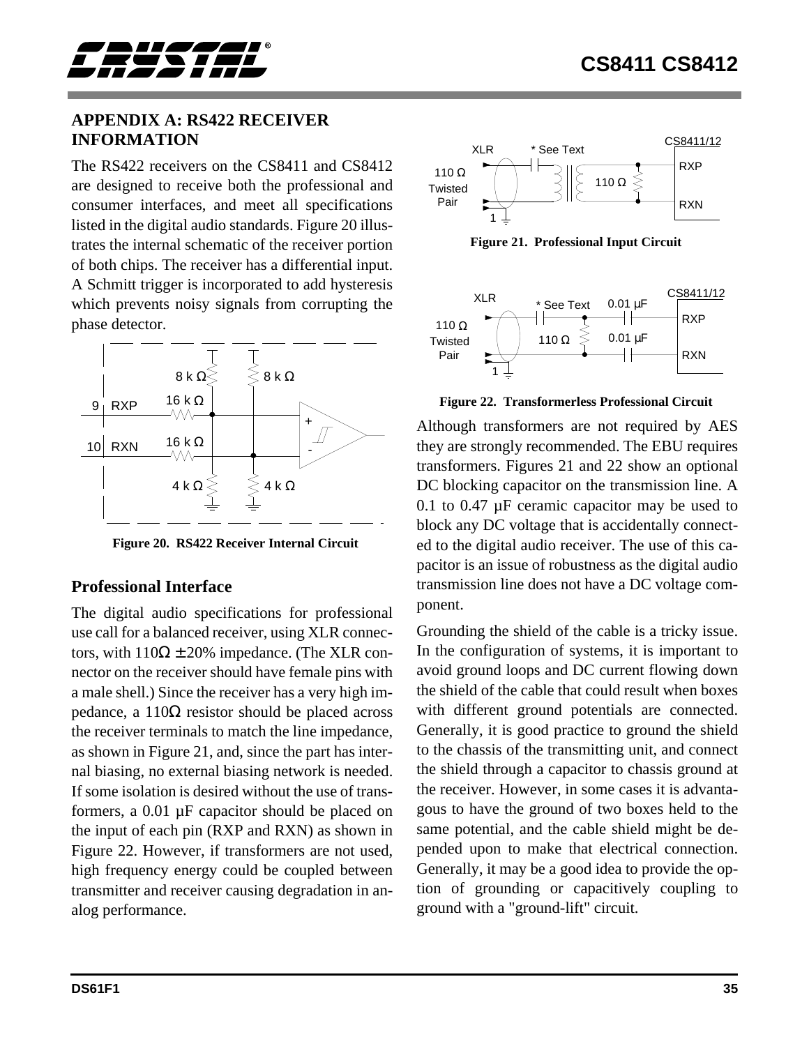<span id="page-34-0"></span>

## **APPENDIX A: RS422 RECEIVER INFORMATION**

The RS422 receivers on the CS8411 and CS8412 are designed to receive both the professional and consumer interfaces, and meet all specifications listed in the digital audio standards. Figure 20 illustrates the internal schematic of the receiver portion of both chips. The receiver has a differential input. A Schmitt trigger is incorporated to add hysteresis which prevents noisy signals from corrupting the phase detector.



**Figure 20. RS422 Receiver Internal Circuit**

## **Professional Interface**

The digital audio specifications for professional use call for a balanced receiver, using XLR connectors, with  $110\Omega \pm 20\%$  impedance. (The XLR connector on the receiver should have female pins with a male shell.) Since the receiver has a very high impedance, a 110Ω resistor should be placed across the receiver terminals to match the line impedance, as shown in Figure 21, and, since the part has internal biasing, no external biasing network is needed. If some isolation is desired without the use of transformers, a 0.01 µF capacitor should be placed on the input of each pin (RXP and RXN) as shown in Figure 22. However, if transformers are not used, high frequency energy could be coupled between transmitter and receiver causing degradation in analog performance.



**Figure 21. Professional Input Circuit**



**Figure 22. Transformerless Professional Circuit**

Although transformers are not required by AES they are strongly recommended. The EBU requires transformers. Figures 21 and 22 show an optional DC blocking capacitor on the transmission line. A 0.1 to 0.47 µF ceramic capacitor may be used to block any DC voltage that is accidentally connected to the digital audio receiver. The use of this capacitor is an issue of robustness as the digital audio transmission line does not have a DC voltage component.

Grounding the shield of the cable is a tricky issue. In the configuration of systems, it is important to avoid ground loops and DC current flowing down the shield of the cable that could result when boxes with different ground potentials are connected. Generally, it is good practice to ground the shield to the chassis of the transmitting unit, and connect the shield through a capacitor to chassis ground at the receiver. However, in some cases it is advantagous to have the ground of two boxes held to the same potential, and the cable shield might be depended upon to make that electrical connection. Generally, it may be a good idea to provide the option of grounding or capacitively coupling to ground with a "ground-lift" circuit.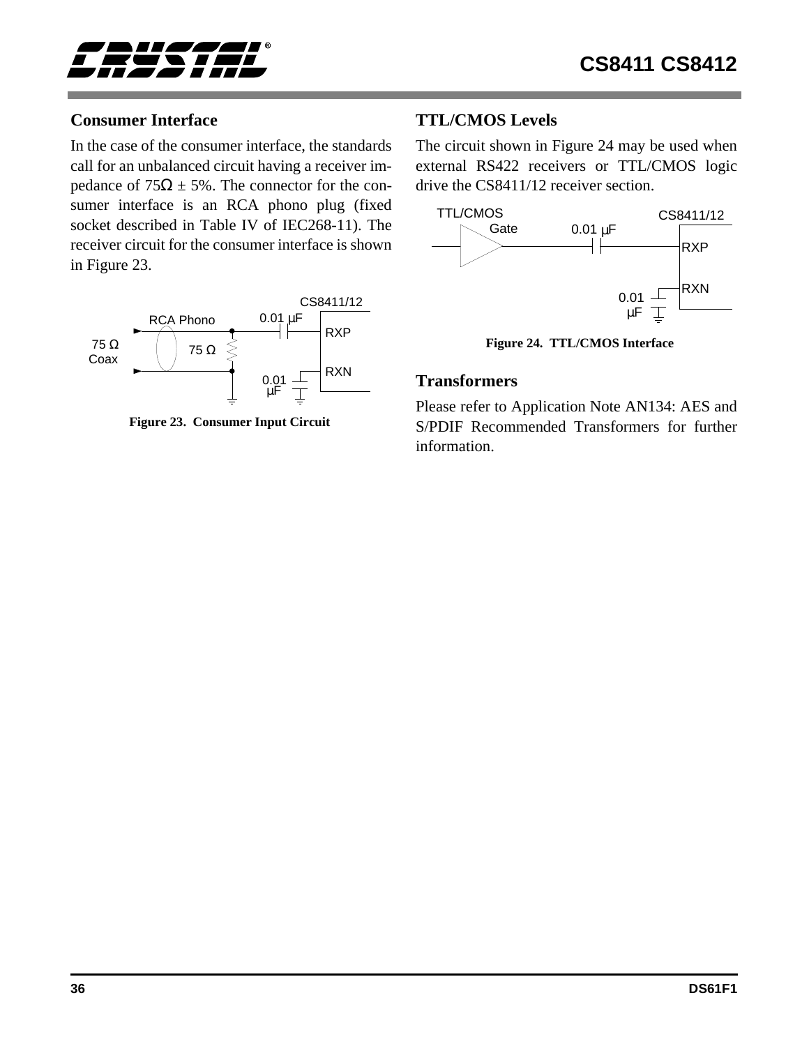<span id="page-35-0"></span>

## **Consumer Interface**

In the case of the consumer interface, the standards call for an unbalanced circuit having a receiver impedance of  $75\Omega \pm 5\%$ . The connector for the consumer interface is an RCA phono plug (fixed socket described in Table IV of IEC268-11). The receiver circuit for the consumer interface is shown in Figure 23.



**Figure 23. Consumer Input Circuit**

## **TTL/CMOS Levels**

The circuit shown in Figure 24 may be used when external RS422 receivers or TTL/CMOS logic drive the CS8411/12 receiver section.



**Figure 24. TTL/CMOS Interface**

#### **Transformers**

Please refer to Application Note AN134: AES and S/PDIF Recommended Transformers for further information.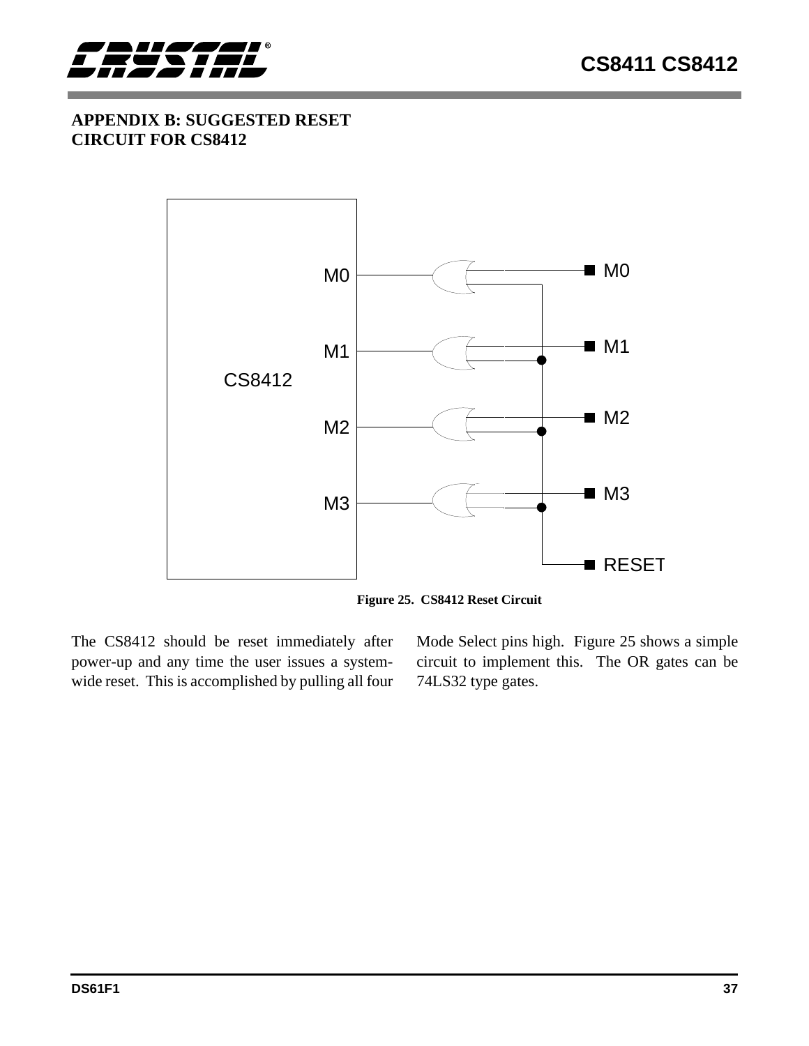

## **APPENDIX B: SUGGESTED RESET CIRCUIT FOR CS8412**



**Figure 25. CS8412 Reset Circuit**

The CS8412 should be reset immediately after power-up and any time the user issues a systemwide reset. This is accomplished by pulling all four Mode Select pins high. Figure 25 shows a simple circuit to implement this. The OR gates can be 74LS32 type gates.